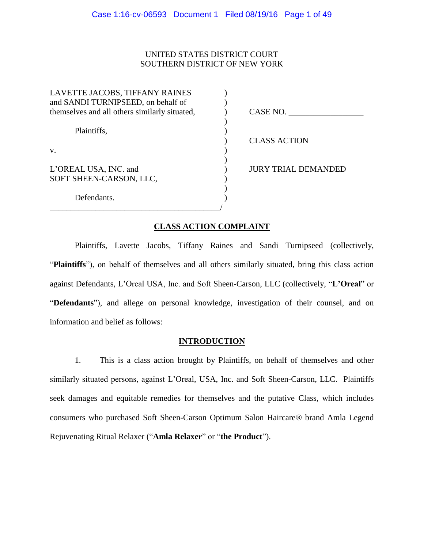# UNITED STATES DISTRICT COURT SOUTHERN DISTRICT OF NEW YORK

| LAVETTE JACOBS, TIFFANY RAINES                |                            |
|-----------------------------------------------|----------------------------|
| and SANDI TURNIPSEED, on behalf of            |                            |
| themselves and all others similarly situated, | CASE NO.                   |
|                                               |                            |
| Plaintiffs,                                   |                            |
|                                               | <b>CLASS ACTION</b>        |
| V.                                            |                            |
|                                               |                            |
| L'OREAL USA, INC. and                         | <b>JURY TRIAL DEMANDED</b> |
| SOFT SHEEN-CARSON, LLC,                       |                            |
|                                               |                            |
| Defendants.                                   |                            |
|                                               |                            |

### **CLASS ACTION COMPLAINT**

Plaintiffs, Lavette Jacobs, Tiffany Raines and Sandi Turnipseed (collectively, "**Plaintiffs**"), on behalf of themselves and all others similarly situated, bring this class action against Defendants, L'Oreal USA, Inc. and Soft Sheen-Carson, LLC (collectively, "**L'Oreal**" or "**Defendants**"), and allege on personal knowledge, investigation of their counsel, and on information and belief as follows:

### **INTRODUCTION**

1. This is a class action brought by Plaintiffs, on behalf of themselves and other similarly situated persons, against L'Oreal, USA, Inc. and Soft Sheen-Carson, LLC. Plaintiffs seek damages and equitable remedies for themselves and the putative Class, which includes consumers who purchased Soft Sheen-Carson Optimum Salon Haircare® brand Amla Legend Rejuvenating Ritual Relaxer ("**Amla Relaxer**" or "**the Product**").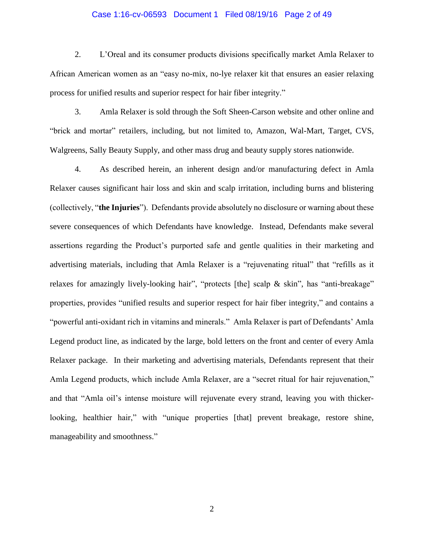#### Case 1:16-cv-06593 Document 1 Filed 08/19/16 Page 2 of 49

2. L'Oreal and its consumer products divisions specifically market Amla Relaxer to African American women as an "easy no-mix, no-lye relaxer kit that ensures an easier relaxing process for unified results and superior respect for hair fiber integrity."

3. Amla Relaxer is sold through the Soft Sheen-Carson website and other online and "brick and mortar" retailers, including, but not limited to, Amazon, Wal-Mart, Target, CVS, Walgreens, Sally Beauty Supply, and other mass drug and beauty supply stores nationwide.

4. As described herein, an inherent design and/or manufacturing defect in Amla Relaxer causes significant hair loss and skin and scalp irritation, including burns and blistering (collectively, "**the Injuries**"). Defendants provide absolutely no disclosure or warning about these severe consequences of which Defendants have knowledge. Instead, Defendants make several assertions regarding the Product's purported safe and gentle qualities in their marketing and advertising materials, including that Amla Relaxer is a "rejuvenating ritual" that "refills as it relaxes for amazingly lively-looking hair", "protects [the] scalp & skin", has "anti-breakage" properties, provides "unified results and superior respect for hair fiber integrity," and contains a "powerful anti-oxidant rich in vitamins and minerals." Amla Relaxer is part of Defendants' Amla Legend product line, as indicated by the large, bold letters on the front and center of every Amla Relaxer package. In their marketing and advertising materials, Defendants represent that their Amla Legend products, which include Amla Relaxer, are a "secret ritual for hair rejuvenation," and that "Amla oil's intense moisture will rejuvenate every strand, leaving you with thickerlooking, healthier hair," with "unique properties [that] prevent breakage, restore shine, manageability and smoothness."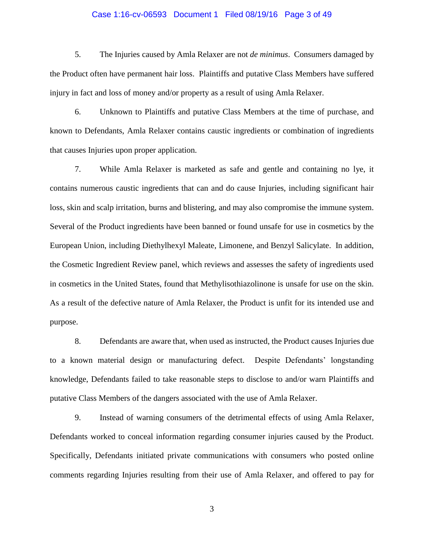#### Case 1:16-cv-06593 Document 1 Filed 08/19/16 Page 3 of 49

5. The Injuries caused by Amla Relaxer are not *de minimus*. Consumers damaged by the Product often have permanent hair loss. Plaintiffs and putative Class Members have suffered injury in fact and loss of money and/or property as a result of using Amla Relaxer.

6. Unknown to Plaintiffs and putative Class Members at the time of purchase, and known to Defendants, Amla Relaxer contains caustic ingredients or combination of ingredients that causes Injuries upon proper application.

7. While Amla Relaxer is marketed as safe and gentle and containing no lye, it contains numerous caustic ingredients that can and do cause Injuries, including significant hair loss, skin and scalp irritation, burns and blistering, and may also compromise the immune system. Several of the Product ingredients have been banned or found unsafe for use in cosmetics by the European Union, including Diethylhexyl Maleate, Limonene, and Benzyl Salicylate. In addition, the Cosmetic Ingredient Review panel, which reviews and assesses the safety of ingredients used in cosmetics in the United States, found that Methylisothiazolinone is unsafe for use on the skin. As a result of the defective nature of Amla Relaxer, the Product is unfit for its intended use and purpose.

8. Defendants are aware that, when used as instructed, the Product causes Injuries due to a known material design or manufacturing defect. Despite Defendants' longstanding knowledge, Defendants failed to take reasonable steps to disclose to and/or warn Plaintiffs and putative Class Members of the dangers associated with the use of Amla Relaxer.

9. Instead of warning consumers of the detrimental effects of using Amla Relaxer, Defendants worked to conceal information regarding consumer injuries caused by the Product. Specifically, Defendants initiated private communications with consumers who posted online comments regarding Injuries resulting from their use of Amla Relaxer, and offered to pay for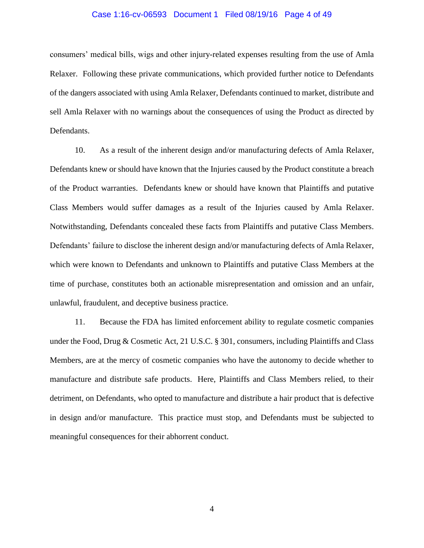#### Case 1:16-cv-06593 Document 1 Filed 08/19/16 Page 4 of 49

consumers' medical bills, wigs and other injury-related expenses resulting from the use of Amla Relaxer. Following these private communications, which provided further notice to Defendants of the dangers associated with using Amla Relaxer, Defendants continued to market, distribute and sell Amla Relaxer with no warnings about the consequences of using the Product as directed by Defendants.

10. As a result of the inherent design and/or manufacturing defects of Amla Relaxer, Defendants knew or should have known that the Injuries caused by the Product constitute a breach of the Product warranties. Defendants knew or should have known that Plaintiffs and putative Class Members would suffer damages as a result of the Injuries caused by Amla Relaxer. Notwithstanding, Defendants concealed these facts from Plaintiffs and putative Class Members. Defendants' failure to disclose the inherent design and/or manufacturing defects of Amla Relaxer, which were known to Defendants and unknown to Plaintiffs and putative Class Members at the time of purchase, constitutes both an actionable misrepresentation and omission and an unfair, unlawful, fraudulent, and deceptive business practice.

11. Because the FDA has limited enforcement ability to regulate cosmetic companies under the Food, Drug & Cosmetic Act, 21 U.S.C. § 301, consumers, including Plaintiffs and Class Members, are at the mercy of cosmetic companies who have the autonomy to decide whether to manufacture and distribute safe products. Here, Plaintiffs and Class Members relied, to their detriment, on Defendants, who opted to manufacture and distribute a hair product that is defective in design and/or manufacture. This practice must stop, and Defendants must be subjected to meaningful consequences for their abhorrent conduct.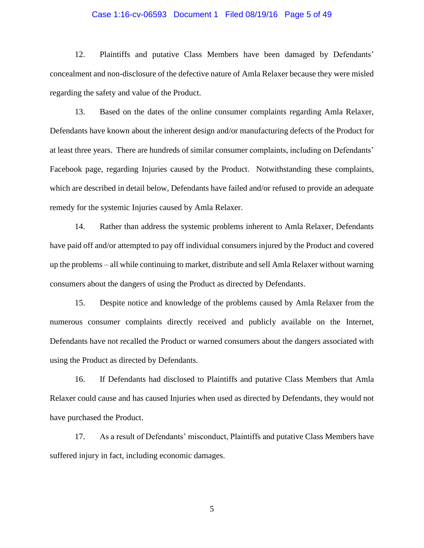#### Case 1:16-cv-06593 Document 1 Filed 08/19/16 Page 5 of 49

12. Plaintiffs and putative Class Members have been damaged by Defendants' concealment and non-disclosure of the defective nature of Amla Relaxer because they were misled regarding the safety and value of the Product.

13. Based on the dates of the online consumer complaints regarding Amla Relaxer, Defendants have known about the inherent design and/or manufacturing defects of the Product for at least three years. There are hundreds of similar consumer complaints, including on Defendants' Facebook page, regarding Injuries caused by the Product. Notwithstanding these complaints, which are described in detail below, Defendants have failed and/or refused to provide an adequate remedy for the systemic Injuries caused by Amla Relaxer.

14. Rather than address the systemic problems inherent to Amla Relaxer, Defendants have paid off and/or attempted to pay off individual consumers injured by the Product and covered up the problems – all while continuing to market, distribute and sell Amla Relaxer without warning consumers about the dangers of using the Product as directed by Defendants.

15. Despite notice and knowledge of the problems caused by Amla Relaxer from the numerous consumer complaints directly received and publicly available on the Internet, Defendants have not recalled the Product or warned consumers about the dangers associated with using the Product as directed by Defendants.

16. If Defendants had disclosed to Plaintiffs and putative Class Members that Amla Relaxer could cause and has caused Injuries when used as directed by Defendants, they would not have purchased the Product.

17. As a result of Defendants' misconduct, Plaintiffs and putative Class Members have suffered injury in fact, including economic damages.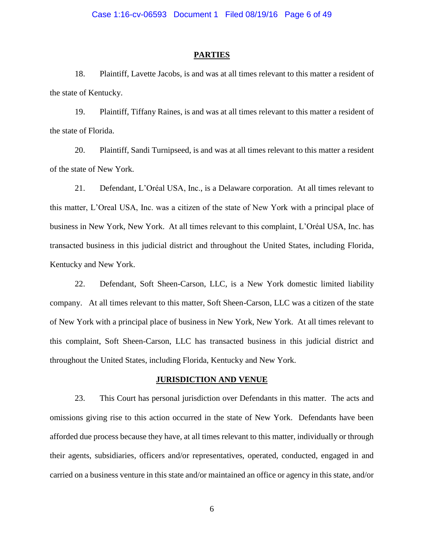#### **PARTIES**

18. Plaintiff, Lavette Jacobs, is and was at all times relevant to this matter a resident of the state of Kentucky.

19. Plaintiff, Tiffany Raines, is and was at all times relevant to this matter a resident of the state of Florida.

20. Plaintiff, Sandi Turnipseed, is and was at all times relevant to this matter a resident of the state of New York.

21. Defendant, L'Oréal USA, Inc., is a Delaware corporation. At all times relevant to this matter, L'Oreal USA, Inc. was a citizen of the state of New York with a principal place of business in New York, New York. At all times relevant to this complaint, L'Oréal USA, Inc. has transacted business in this judicial district and throughout the United States, including Florida, Kentucky and New York.

22. Defendant, Soft Sheen-Carson, LLC, is a New York domestic limited liability company. At all times relevant to this matter, Soft Sheen-Carson, LLC was a citizen of the state of New York with a principal place of business in New York, New York. At all times relevant to this complaint, Soft Sheen-Carson, LLC has transacted business in this judicial district and throughout the United States, including Florida, Kentucky and New York.

### **JURISDICTION AND VENUE**

23. This Court has personal jurisdiction over Defendants in this matter. The acts and omissions giving rise to this action occurred in the state of New York. Defendants have been afforded due process because they have, at all times relevant to this matter, individually or through their agents, subsidiaries, officers and/or representatives, operated, conducted, engaged in and carried on a business venture in this state and/or maintained an office or agency in this state, and/or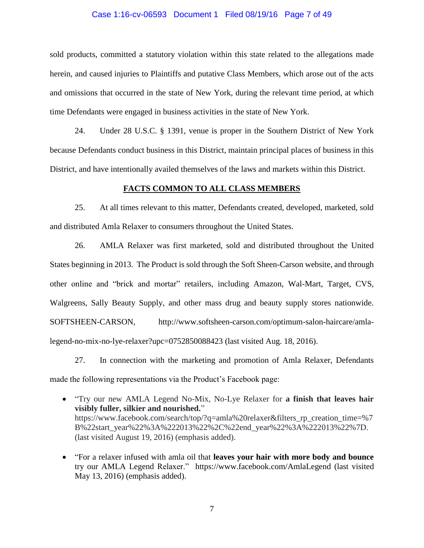#### Case 1:16-cv-06593 Document 1 Filed 08/19/16 Page 7 of 49

sold products, committed a statutory violation within this state related to the allegations made herein, and caused injuries to Plaintiffs and putative Class Members, which arose out of the acts and omissions that occurred in the state of New York, during the relevant time period, at which time Defendants were engaged in business activities in the state of New York.

24. Under 28 U.S.C. § 1391, venue is proper in the Southern District of New York because Defendants conduct business in this District, maintain principal places of business in this District, and have intentionally availed themselves of the laws and markets within this District.

### **FACTS COMMON TO ALL CLASS MEMBERS**

25. At all times relevant to this matter, Defendants created, developed, marketed, sold and distributed Amla Relaxer to consumers throughout the United States.

26. AMLA Relaxer was first marketed, sold and distributed throughout the United States beginning in 2013. The Product is sold through the Soft Sheen-Carson website, and through other online and "brick and mortar" retailers, including Amazon, Wal-Mart, Target, CVS, Walgreens, Sally Beauty Supply, and other mass drug and beauty supply stores nationwide. SOFTSHEEN-CARSON, [http://www.softsheen-carson.com/optimum-salon-haircare/amla](http://www.softsheen-carson.com/optimum-salon-haircare/amla-legend-no-mix-no-lye-relaxer?upc=0752850088423)[legend-no-mix-no-lye-relaxer?upc=0752850088423](http://www.softsheen-carson.com/optimum-salon-haircare/amla-legend-no-mix-no-lye-relaxer?upc=0752850088423) (last visited Aug. 18, 2016).

27. In connection with the marketing and promotion of Amla Relaxer, Defendants made the following representations via the Product's Facebook page:

- "Try our new AMLA Legend No-Mix, No-Lye Relaxer for **a finish that leaves hair visibly fuller, silkier and nourished.**" https://www.facebook.com/search/top/?q=amla%20relaxer&filters\_rp\_creation\_time=%7 B%22start\_year%22%3A%222013%22%2C%22end\_year%22%3A%222013%22%7D. (last visited August 19, 2016) (emphasis added).
- "For a relaxer infused with amla oil that **leaves your hair with more body and bounce**  try our AMLA Legend Relaxer."<https://www.facebook.com/AmlaLegend> (last visited May 13, 2016) (emphasis added).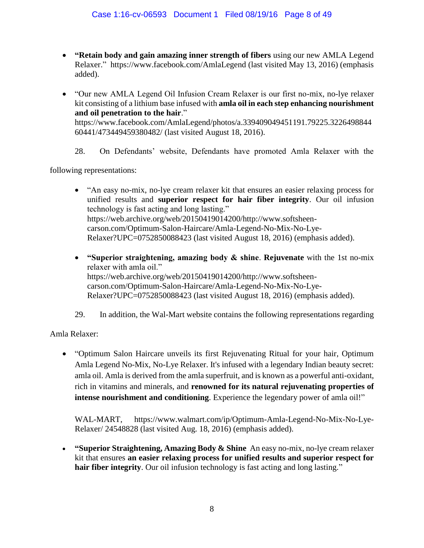- **"Retain body and gain amazing inner strength of fibers** using our new AMLA Legend Relaxer." <https://www.facebook.com/AmlaLegend> (last visited May 13, 2016) (emphasis added).
- "Our new AMLA Legend Oil Infusion Cream Relaxer is our first no-mix, no-lye relaxer kit consisting of a lithium base infused with **amla oil in each step enhancing nourishment and oil penetration to the hair**." [https://www.facebook.com/AmlaLegend/photos/a.339409049451191.79225.3226498844](https://www.facebook.com/AmlaLegend/photos/a.339409049451191.79225.322649884460441/473449459380482/) [60441/473449459380482/](https://www.facebook.com/AmlaLegend/photos/a.339409049451191.79225.322649884460441/473449459380482/) (last visited August 18, 2016).
	- 28. On Defendants' website, Defendants have promoted Amla Relaxer with the

following representations:

- "An easy no-mix, no-lye cream relaxer kit that ensures an easier relaxing process for unified results and **superior respect for hair fiber integrity**. Our oil infusion technology is fast acting and long lasting." [https://web.archive.org/web/20150419014200/http://www.softsheen](https://web.archive.org/web/20150419014200/http:/www.softsheen-carson.com/Optimum-Salon-Haircare/Amla-Legend-No-Mix-No-Lye-Relaxer?UPC=0752850088423)[carson.com/Optimum-Salon-Haircare/Amla-Legend-No-Mix-No-Lye-](https://web.archive.org/web/20150419014200/http:/www.softsheen-carson.com/Optimum-Salon-Haircare/Amla-Legend-No-Mix-No-Lye-Relaxer?UPC=0752850088423)[Relaxer?UPC=0752850088423](https://web.archive.org/web/20150419014200/http:/www.softsheen-carson.com/Optimum-Salon-Haircare/Amla-Legend-No-Mix-No-Lye-Relaxer?UPC=0752850088423) (last visited August 18, 2016) (emphasis added).
- **"Superior straightening, amazing body & shine**. **Rejuvenate** with the 1st no-mix relaxer with amla oil." [https://web.archive.org/web/20150419014200/http://www.softsheen](https://web.archive.org/web/20150419014200/http:/www.softsheen-carson.com/Optimum-Salon-Haircare/Amla-Legend-No-Mix-No-Lye-Relaxer?UPC=0752850088423)[carson.com/Optimum-Salon-Haircare/Amla-Legend-No-Mix-No-Lye-](https://web.archive.org/web/20150419014200/http:/www.softsheen-carson.com/Optimum-Salon-Haircare/Amla-Legend-No-Mix-No-Lye-Relaxer?UPC=0752850088423)[Relaxer?UPC=0752850088423](https://web.archive.org/web/20150419014200/http:/www.softsheen-carson.com/Optimum-Salon-Haircare/Amla-Legend-No-Mix-No-Lye-Relaxer?UPC=0752850088423) (last visited August 18, 2016) (emphasis added).
- 29. In addition, the Wal-Mart website contains the following representations regarding

Amla Relaxer:

 "Optimum Salon Haircare unveils its first Rejuvenating Ritual for your hair, Optimum Amla Legend No-Mix, No-Lye Relaxer. It's infused with a legendary Indian beauty secret: amla oil. Amla is derived from the amla superfruit, and is known as a powerful anti-oxidant, rich in vitamins and minerals, and **renowned for its natural rejuvenating properties of intense nourishment and conditioning**. Experience the legendary power of amla oil!"

WAL-MART, [https://www.walmart.com/ip/Optimum-Amla-Legend-No-Mix-No-Lye-](https://www.walmart.com/ip/Optimum-Amla-Legend-No-Mix-No-Lye-Relaxer/)[Relaxer/](https://www.walmart.com/ip/Optimum-Amla-Legend-No-Mix-No-Lye-Relaxer/) 24548828 (last visited Aug. 18, 2016) (emphasis added).

 **"Superior Straightening, Amazing Body & Shine** An easy no-mix, no-lye cream relaxer kit that ensures **an easier relaxing process for unified results and superior respect for hair fiber integrity**. Our oil infusion technology is fast acting and long lasting."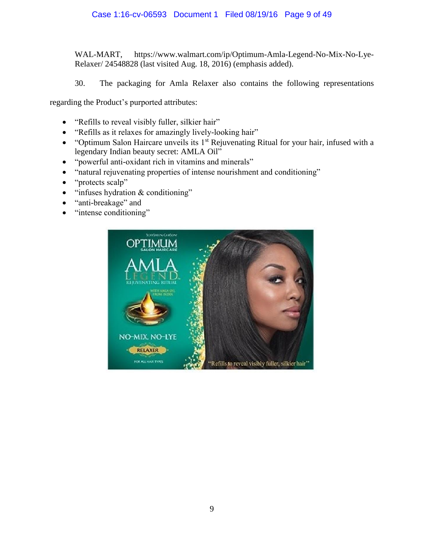WAL-MART, [https://www.walmart.com/ip/Optimum-Amla-Legend-No-Mix-No-Lye-](https://www.walmart.com/ip/Optimum-Amla-Legend-No-Mix-No-Lye-Relaxer/)[Relaxer/](https://www.walmart.com/ip/Optimum-Amla-Legend-No-Mix-No-Lye-Relaxer/) 24548828 (last visited Aug. 18, 2016) (emphasis added).

30. The packaging for Amla Relaxer also contains the following representations

regarding the Product's purported attributes:

- "Refills to reveal visibly fuller, silkier hair"
- "Refills as it relaxes for amazingly lively-looking hair"
- $\bullet$  "Optimum Salon Haircare unveils its 1<sup>st</sup> Rejuvenating Ritual for your hair, infused with a legendary Indian beauty secret: AMLA Oil"
- "powerful anti-oxidant rich in vitamins and minerals"
- "natural rejuvenating properties of intense nourishment and conditioning"
- "protects scalp"
- $\bullet$  "infuses hydration & conditioning"
- "anti-breakage" and
- "intense conditioning"

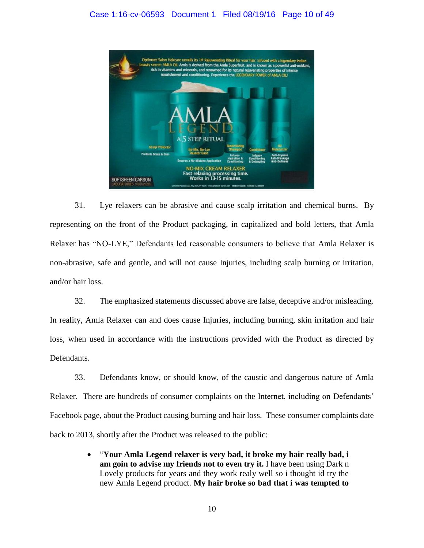

31. Lye relaxers can be abrasive and cause scalp irritation and chemical burns. By representing on the front of the Product packaging, in capitalized and bold letters, that Amla Relaxer has "NO-LYE," Defendants led reasonable consumers to believe that Amla Relaxer is non-abrasive, safe and gentle, and will not cause Injuries, including scalp burning or irritation, and/or hair loss.

32. The emphasized statements discussed above are false, deceptive and/or misleading. In reality, Amla Relaxer can and does cause Injuries, including burning, skin irritation and hair loss, when used in accordance with the instructions provided with the Product as directed by Defendants.

33. Defendants know, or should know, of the caustic and dangerous nature of Amla Relaxer. There are hundreds of consumer complaints on the Internet, including on Defendants' Facebook page, about the Product causing burning and hair loss. These consumer complaints date back to 2013, shortly after the Product was released to the public:

> "**Your Amla Legend relaxer is very bad, it broke my hair really bad, i am goin to advise my friends not to even try it.** I have been using Dark n Lovely products for years and they work realy well so i thought id try the new Amla Legend product. **My hair broke so bad that i was tempted to**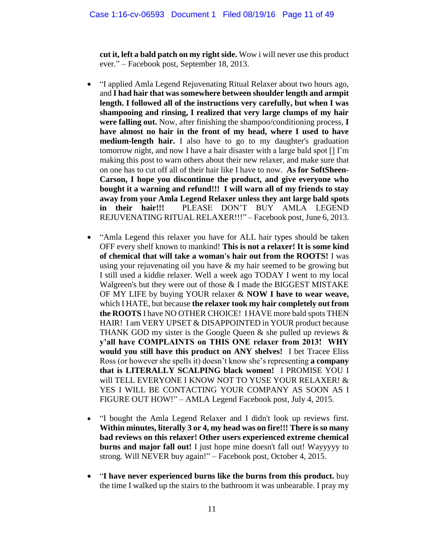**cut it, left a bald patch on my right side.** Wow i will never use this product ever." – Facebook post, September 18, 2013.

- "I applied Amla Legend Rejuvenating Ritual Relaxer about two hours ago, and **I had hair that was somewhere between shoulder length and armpit length. I followed all of the instructions very carefully, but when I was shampooing and rinsing, I realized that very large clumps of my hair were falling out.** Now, after finishing the shampoo/conditioning process, **I have almost no hair in the front of my head, where I used to have medium-length hair.** I also have to go to my daughter's graduation tomorrow night, and now I have a hair disaster with a large bald spot [] I'm making this post to warn others about their new relaxer, and make sure that on one has to cut off all of their hair like I have to now. **As for SoftSheen-Carson, I hope you discontinue the product, and give everyone who bought it a warning and refund!!! I will warn all of my friends to stay away from your Amla Legend Relaxer unless they ant large bald spots in their hair!!!** PLEASE DON'T BUY AMLA LEGEND REJUVENATING RITUAL RELAXER!!!" – Facebook post, June 6, 2013.
- "Amla Legend this relaxer you have for ALL hair types should be taken OFF every shelf known to mankind! **This is not a relaxer! It is some kind of chemical that will take a woman's hair out from the ROOTS!** I was using your rejuvenating oil you have & my hair seemed to be growing but I still used a kiddie relaxer. Well a week ago TODAY I went to my local Walgreen's but they were out of those & I made the BIGGEST MISTAKE OF MY LIFE by buying YOUR relaxer & **NOW I have to wear weave,** which I HATE, but because **the relaxer took my hair completely out from the ROOTS** I have NO OTHER CHOICE! I HAVE more bald spots THEN HAIR! I am VERY UPSET & DISAPPOINTED in YOUR product because THANK GOD my sister is the Google Queen  $\&$  she pulled up reviews  $\&$ **y'all have COMPLAINTS on THIS ONE relaxer from 2013! WHY would you still have this product on ANY shelves!** I bet Tracee Eliss Ross (or however she spells it) doesn't know she's representing **a company that is LITERALLY SCALPING black women!** I PROMISE YOU I will TELL EVERYONE I KNOW NOT TO YUSE YOUR RELAXER! & YES I WILL BE CONTACTING YOUR COMPANY AS SOON AS I FIGURE OUT HOW!" – AMLA Legend Facebook post, July 4, 2015.
- "I bought the Amla Legend Relaxer and I didn't look up reviews first. **Within minutes, literally 3 or 4, my head was on fire!!! There is so many bad reviews on this relaxer! Other users experienced extreme chemical burns and major fall out!** I just hope mine doesn't fall out! Wayyyyy to strong. Will NEVER buy again!" – Facebook post, October 4, 2015.
- "**I have never experienced burns like the burns from this product.** buy the time I walked up the stairs to the bathroom it was unbearable. I pray my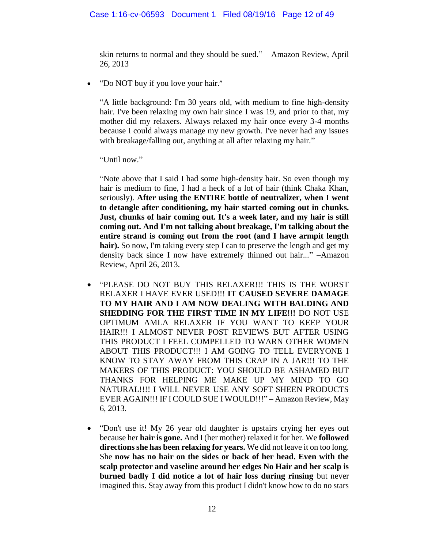skin returns to normal and they should be sued." – Amazon Review, April 26, 2013

• ["Do NOT buy if you love your hair](https://www.amazon.com/review/RJAZ3WEZL7YCR/ref=cm_cr_dp_title?ie=UTF8&ASIN=B00B1KM1XM&channel=detail-glance&nodeID=3760911&store=beauty)."

"A little background: I'm 30 years old, with medium to fine high-density hair. I've been relaxing my own hair since I was 19, and prior to that, my mother did my relaxers. Always relaxed my hair once every 3-4 months because I could always manage my new growth. I've never had any issues with breakage/falling out, anything at all after relaxing my hair."

"Until now."

"Note above that I said I had some high-density hair. So even though my hair is medium to fine, I had a heck of a lot of hair (think Chaka Khan, seriously). **After using the ENTIRE bottle of neutralizer, when I went to detangle after conditioning, my hair started coming out in chunks. Just, chunks of hair coming out. It's a week later, and my hair is still coming out. And I'm not talking about breakage, I'm talking about the entire strand is coming out from the root (and I have armpit length**  hair). So now, I'm taking every step I can to preserve the length and get my density back since I now have extremely thinned out hair..." –Amazon Review, April 26, 2013.

- "PLEASE DO NOT BUY THIS RELAXER!!! THIS IS THE WORST RELAXER I HAVE EVER USED!!! **IT CAUSED SEVERE DAMAGE TO MY HAIR AND I AM NOW DEALING WITH BALDING AND SHEDDING FOR THE FIRST TIME IN MY LIFE!!!** DO NOT USE OPTIMUM AMLA RELAXER IF YOU WANT TO KEEP YOUR HAIR!!! I ALMOST NEVER POST REVIEWS BUT AFTER USING THIS PRODUCT I FEEL COMPELLED TO WARN OTHER WOMEN ABOUT THIS PRODUCT!!! I AM GOING TO TELL EVERYONE I KNOW TO STAY AWAY FROM THIS CRAP IN A JAR!!! TO THE MAKERS OF THIS PRODUCT: YOU SHOULD BE ASHAMED BUT THANKS FOR HELPING ME MAKE UP MY MIND TO GO NATURAL!!!! I WILL NEVER USE ANY SOFT SHEEN PRODUCTS EVER AGAIN!!! IF I COULD SUE I WOULD!!!" – Amazon Review, May 6, 2013.
- "Don't use it! My 26 year old daughter is upstairs crying her eyes out because her **hair is gone.** And I (her mother) relaxed it for her. We **followed directions she has been relaxing for years.** We did not leave it on too long. She **now has no hair on the sides or back of her head. Even with the scalp protector and vaseline around her edges No Hair and her scalp is burned badly I did notice a lot of hair loss during rinsing** but never imagined this. Stay away from this product I didn't know how to do no stars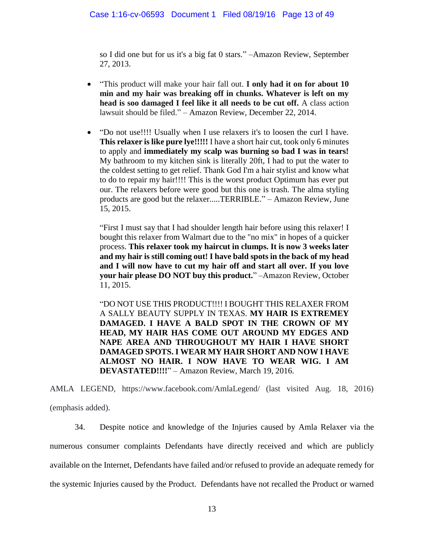so I did one but for us it's a big fat 0 stars." –Amazon Review, September 27, 2013.

- "This product will make your hair fall out. **I only had it on for about 10 min and my hair was breaking off in chunks. Whatever is left on my head is soo damaged I feel like it all needs to be cut off.** A class action lawsuit should be filed." – Amazon Review, December 22, 2014.
- "Do not use!!!! Usually when I use relaxers it's to loosen the curl I have. **This relaxer is like pure lye!!!!!** I have a short hair cut, took only 6 minutes to apply and **immediately my scalp was burning so bad I was in tears!**  My bathroom to my kitchen sink is literally 20ft, I had to put the water to the coldest setting to get relief. Thank God I'm a hair stylist and know what to do to repair my hair!!!! This is the worst product Optimum has ever put our. The relaxers before were good but this one is trash. The alma styling products are good but the relaxer.....TERRIBLE." – Amazon Review, June 15, 2015.

"First I must say that I had shoulder length hair before using this relaxer! I bought this relaxer from Walmart due to the "no mix" in hopes of a quicker process. **This relaxer took my haircut in clumps. It is now 3 weeks later and my hair is still coming out! I have bald spots in the back of my head and I will now have to cut my hair off and start all over. If you love your hair please DO NOT buy this product.**" –Amazon Review, October 11, 2015.

"DO NOT USE THIS PRODUCT!!!! I BOUGHT THIS RELAXER FROM A SALLY BEAUTY SUPPLY IN TEXAS. **MY HAIR IS EXTREMEY DAMAGED. I HAVE A BALD SPOT IN THE CROWN OF MY HEAD, MY HAIR HAS COME OUT AROUND MY EDGES AND NAPE AREA AND THROUGHOUT MY HAIR I HAVE SHORT DAMAGED SPOTS. I WEAR MY HAIR SHORT AND NOW I HAVE ALMOST NO HAIR. I NOW HAVE TO WEAR WIG. I AM DEVASTATED!!!!**" – Amazon Review, March 19, 2016.

AMLA LEGEND, https://www.facebook.com/AmlaLegend/ (last visited Aug. 18, 2016) (emphasis added).

34. Despite notice and knowledge of the Injuries caused by Amla Relaxer via the numerous consumer complaints Defendants have directly received and which are publicly available on the Internet, Defendants have failed and/or refused to provide an adequate remedy for the systemic Injuries caused by the Product. Defendants have not recalled the Product or warned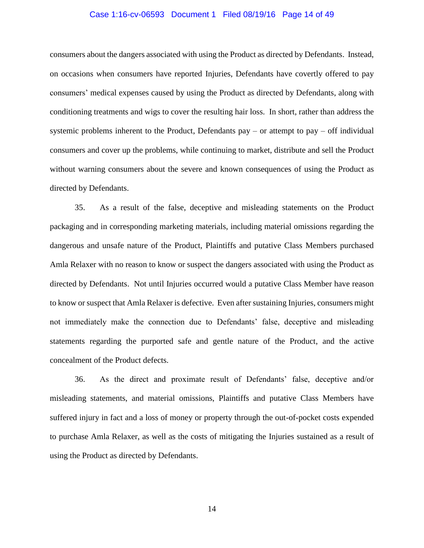#### Case 1:16-cv-06593 Document 1 Filed 08/19/16 Page 14 of 49

consumers about the dangers associated with using the Product as directed by Defendants. Instead, on occasions when consumers have reported Injuries, Defendants have covertly offered to pay consumers' medical expenses caused by using the Product as directed by Defendants, along with conditioning treatments and wigs to cover the resulting hair loss. In short, rather than address the systemic problems inherent to the Product, Defendants  $pay - or$  attempt to  $pay - off$  individual consumers and cover up the problems, while continuing to market, distribute and sell the Product without warning consumers about the severe and known consequences of using the Product as directed by Defendants.

35. As a result of the false, deceptive and misleading statements on the Product packaging and in corresponding marketing materials, including material omissions regarding the dangerous and unsafe nature of the Product, Plaintiffs and putative Class Members purchased Amla Relaxer with no reason to know or suspect the dangers associated with using the Product as directed by Defendants. Not until Injuries occurred would a putative Class Member have reason to know or suspect that Amla Relaxer is defective. Even after sustaining Injuries, consumers might not immediately make the connection due to Defendants' false, deceptive and misleading statements regarding the purported safe and gentle nature of the Product, and the active concealment of the Product defects.

36. As the direct and proximate result of Defendants' false, deceptive and/or misleading statements, and material omissions, Plaintiffs and putative Class Members have suffered injury in fact and a loss of money or property through the out-of-pocket costs expended to purchase Amla Relaxer, as well as the costs of mitigating the Injuries sustained as a result of using the Product as directed by Defendants.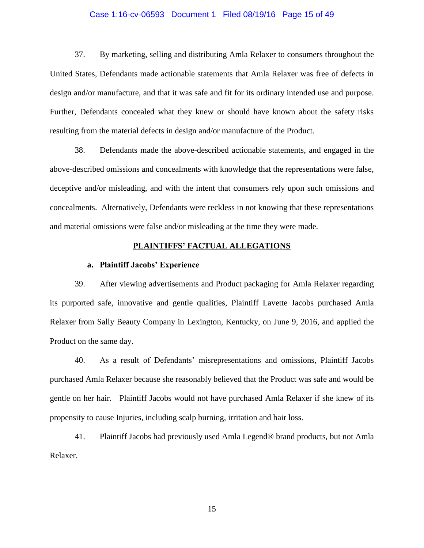#### Case 1:16-cv-06593 Document 1 Filed 08/19/16 Page 15 of 49

37. By marketing, selling and distributing Amla Relaxer to consumers throughout the United States, Defendants made actionable statements that Amla Relaxer was free of defects in design and/or manufacture, and that it was safe and fit for its ordinary intended use and purpose. Further, Defendants concealed what they knew or should have known about the safety risks resulting from the material defects in design and/or manufacture of the Product.

38. Defendants made the above-described actionable statements, and engaged in the above-described omissions and concealments with knowledge that the representations were false, deceptive and/or misleading, and with the intent that consumers rely upon such omissions and concealments. Alternatively, Defendants were reckless in not knowing that these representations and material omissions were false and/or misleading at the time they were made.

### **PLAINTIFFS' FACTUAL ALLEGATIONS**

#### **a. Plaintiff Jacobs' Experience**

39. After viewing advertisements and Product packaging for Amla Relaxer regarding its purported safe, innovative and gentle qualities, Plaintiff Lavette Jacobs purchased Amla Relaxer from Sally Beauty Company in Lexington, Kentucky, on June 9, 2016, and applied the Product on the same day.

40. As a result of Defendants' misrepresentations and omissions, Plaintiff Jacobs purchased Amla Relaxer because she reasonably believed that the Product was safe and would be gentle on her hair. Plaintiff Jacobs would not have purchased Amla Relaxer if she knew of its propensity to cause Injuries, including scalp burning, irritation and hair loss.

41. Plaintiff Jacobs had previously used Amla Legend® brand products, but not Amla Relaxer.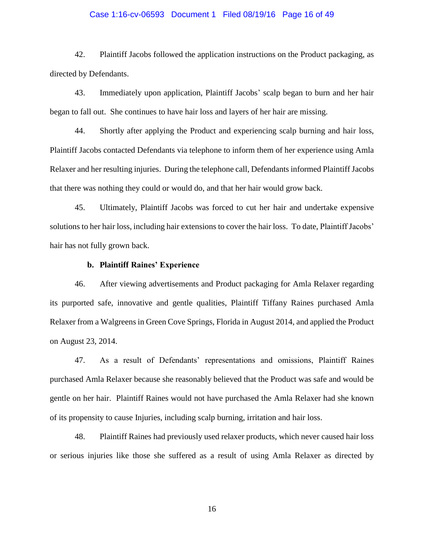#### Case 1:16-cv-06593 Document 1 Filed 08/19/16 Page 16 of 49

42. Plaintiff Jacobs followed the application instructions on the Product packaging, as directed by Defendants.

43. Immediately upon application, Plaintiff Jacobs' scalp began to burn and her hair began to fall out. She continues to have hair loss and layers of her hair are missing.

44. Shortly after applying the Product and experiencing scalp burning and hair loss, Plaintiff Jacobs contacted Defendants via telephone to inform them of her experience using Amla Relaxer and her resulting injuries. During the telephone call, Defendants informed Plaintiff Jacobs that there was nothing they could or would do, and that her hair would grow back.

45. Ultimately, Plaintiff Jacobs was forced to cut her hair and undertake expensive solutions to her hair loss, including hair extensions to cover the hair loss. To date, Plaintiff Jacobs' hair has not fully grown back.

### **b. Plaintiff Raines' Experience**

46. After viewing advertisements and Product packaging for Amla Relaxer regarding its purported safe, innovative and gentle qualities, Plaintiff Tiffany Raines purchased Amla Relaxer from a Walgreens in Green Cove Springs, Florida in August 2014, and applied the Product on August 23, 2014.

47. As a result of Defendants' representations and omissions, Plaintiff Raines purchased Amla Relaxer because she reasonably believed that the Product was safe and would be gentle on her hair. Plaintiff Raines would not have purchased the Amla Relaxer had she known of its propensity to cause Injuries, including scalp burning, irritation and hair loss.

48. Plaintiff Raines had previously used relaxer products, which never caused hair loss or serious injuries like those she suffered as a result of using Amla Relaxer as directed by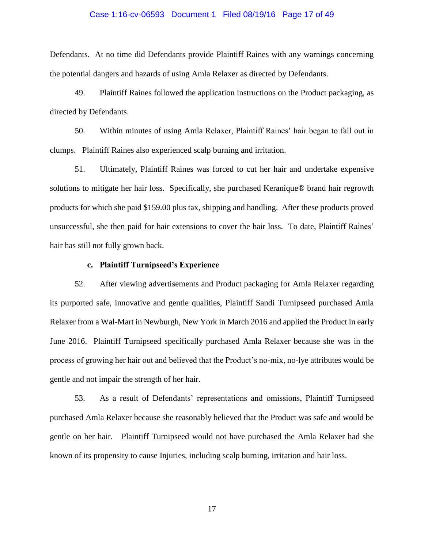#### Case 1:16-cv-06593 Document 1 Filed 08/19/16 Page 17 of 49

Defendants. At no time did Defendants provide Plaintiff Raines with any warnings concerning the potential dangers and hazards of using Amla Relaxer as directed by Defendants.

49. Plaintiff Raines followed the application instructions on the Product packaging, as directed by Defendants.

50. Within minutes of using Amla Relaxer, Plaintiff Raines' hair began to fall out in clumps. Plaintiff Raines also experienced scalp burning and irritation.

51. Ultimately, Plaintiff Raines was forced to cut her hair and undertake expensive solutions to mitigate her hair loss. Specifically, she purchased Keranique® brand hair regrowth products for which she paid \$159.00 plus tax, shipping and handling. After these products proved unsuccessful, she then paid for hair extensions to cover the hair loss. To date, Plaintiff Raines' hair has still not fully grown back.

## **c. Plaintiff Turnipseed's Experience**

52. After viewing advertisements and Product packaging for Amla Relaxer regarding its purported safe, innovative and gentle qualities, Plaintiff Sandi Turnipseed purchased Amla Relaxer from a Wal-Mart in Newburgh, New York in March 2016 and applied the Product in early June 2016. Plaintiff Turnipseed specifically purchased Amla Relaxer because she was in the process of growing her hair out and believed that the Product's no-mix, no-lye attributes would be gentle and not impair the strength of her hair.

53. As a result of Defendants' representations and omissions, Plaintiff Turnipseed purchased Amla Relaxer because she reasonably believed that the Product was safe and would be gentle on her hair. Plaintiff Turnipseed would not have purchased the Amla Relaxer had she known of its propensity to cause Injuries, including scalp burning, irritation and hair loss.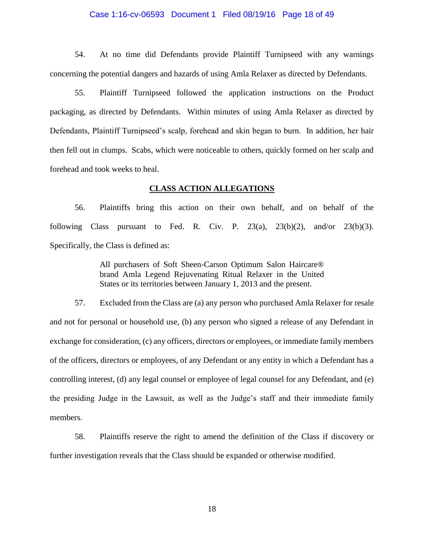#### Case 1:16-cv-06593 Document 1 Filed 08/19/16 Page 18 of 49

54. At no time did Defendants provide Plaintiff Turnipseed with any warnings concerning the potential dangers and hazards of using Amla Relaxer as directed by Defendants.

55. Plaintiff Turnipseed followed the application instructions on the Product packaging, as directed by Defendants. Within minutes of using Amla Relaxer as directed by Defendants, Plaintiff Turnipseed's scalp, forehead and skin began to burn. In addition, her hair then fell out in clumps. Scabs, which were noticeable to others, quickly formed on her scalp and forehead and took weeks to heal.

### **CLASS ACTION ALLEGATIONS**

56. Plaintiffs bring this action on their own behalf, and on behalf of the following Class pursuant to Fed. R. Civ. P.  $23(a)$ ,  $23(b)(2)$ , and/or  $23(b)(3)$ . Specifically, the Class is defined as:

> All purchasers of Soft Sheen-Carson Optimum Salon Haircare® brand Amla Legend Rejuvenating Ritual Relaxer in the United States or its territories between January 1, 2013 and the present.

57. Excluded from the Class are (a) any person who purchased Amla Relaxer for resale and not for personal or household use, (b) any person who signed a release of any Defendant in exchange for consideration, (c) any officers, directors or employees, or immediate family members of the officers, directors or employees, of any Defendant or any entity in which a Defendant has a controlling interest, (d) any legal counsel or employee of legal counsel for any Defendant, and (e) the presiding Judge in the Lawsuit, as well as the Judge's staff and their immediate family members.

58. Plaintiffs reserve the right to amend the definition of the Class if discovery or further investigation reveals that the Class should be expanded or otherwise modified.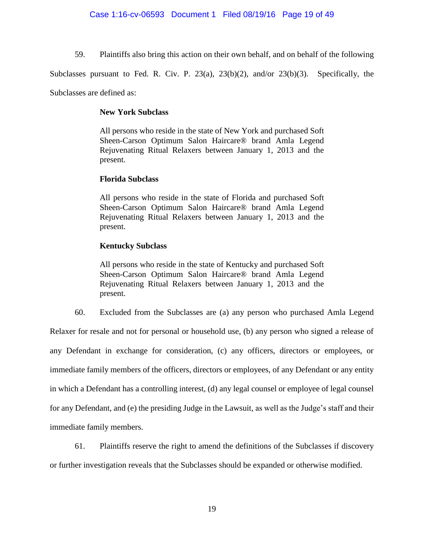59. Plaintiffs also bring this action on their own behalf, and on behalf of the following

Subclasses pursuant to Fed. R. Civ. P. 23(a), 23(b)(2), and/or 23(b)(3). Specifically, the

Subclasses are defined as:

## **New York Subclass**

All persons who reside in the state of New York and purchased Soft Sheen-Carson Optimum Salon Haircare® brand Amla Legend Rejuvenating Ritual Relaxers between January 1, 2013 and the present.

# **Florida Subclass**

All persons who reside in the state of Florida and purchased Soft Sheen-Carson Optimum Salon Haircare® brand Amla Legend Rejuvenating Ritual Relaxers between January 1, 2013 and the present.

# **Kentucky Subclass**

All persons who reside in the state of Kentucky and purchased Soft Sheen-Carson Optimum Salon Haircare® brand Amla Legend Rejuvenating Ritual Relaxers between January 1, 2013 and the present.

60. Excluded from the Subclasses are (a) any person who purchased Amla Legend

Relaxer for resale and not for personal or household use, (b) any person who signed a release of any Defendant in exchange for consideration, (c) any officers, directors or employees, or immediate family members of the officers, directors or employees, of any Defendant or any entity in which a Defendant has a controlling interest, (d) any legal counsel or employee of legal counsel for any Defendant, and (e) the presiding Judge in the Lawsuit, as well as the Judge's staff and their immediate family members.

61. Plaintiffs reserve the right to amend the definitions of the Subclasses if discovery

or further investigation reveals that the Subclasses should be expanded or otherwise modified.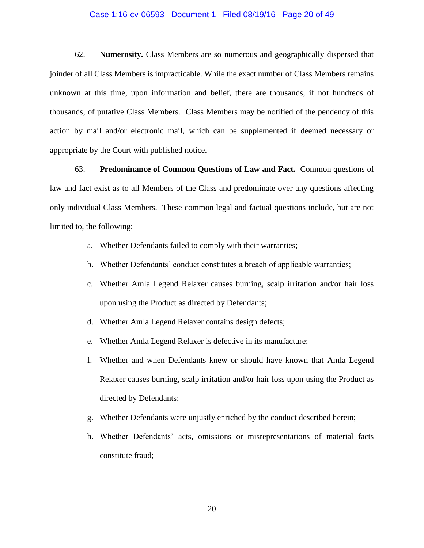#### Case 1:16-cv-06593 Document 1 Filed 08/19/16 Page 20 of 49

62. **Numerosity.** Class Members are so numerous and geographically dispersed that joinder of all Class Members is impracticable. While the exact number of Class Members remains unknown at this time, upon information and belief, there are thousands, if not hundreds of thousands, of putative Class Members. Class Members may be notified of the pendency of this action by mail and/or electronic mail, which can be supplemented if deemed necessary or appropriate by the Court with published notice.

63. **Predominance of Common Questions of Law and Fact.** Common questions of law and fact exist as to all Members of the Class and predominate over any questions affecting only individual Class Members. These common legal and factual questions include, but are not limited to, the following:

- a. Whether Defendants failed to comply with their warranties;
- b. Whether Defendants' conduct constitutes a breach of applicable warranties;
- c. Whether Amla Legend Relaxer causes burning, scalp irritation and/or hair loss upon using the Product as directed by Defendants;
- d. Whether Amla Legend Relaxer contains design defects;
- e. Whether Amla Legend Relaxer is defective in its manufacture;
- f. Whether and when Defendants knew or should have known that Amla Legend Relaxer causes burning, scalp irritation and/or hair loss upon using the Product as directed by Defendants;
- g. Whether Defendants were unjustly enriched by the conduct described herein;
- h. Whether Defendants' acts, omissions or misrepresentations of material facts constitute fraud;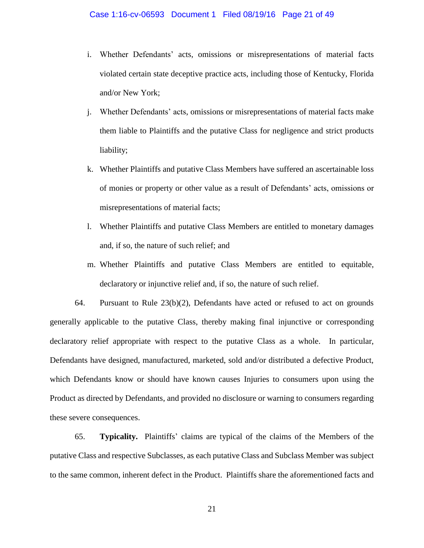- i. Whether Defendants' acts, omissions or misrepresentations of material facts violated certain state deceptive practice acts, including those of Kentucky, Florida and/or New York;
- j. Whether Defendants' acts, omissions or misrepresentations of material facts make them liable to Plaintiffs and the putative Class for negligence and strict products liability;
- k. Whether Plaintiffs and putative Class Members have suffered an ascertainable loss of monies or property or other value as a result of Defendants' acts, omissions or misrepresentations of material facts;
- l. Whether Plaintiffs and putative Class Members are entitled to monetary damages and, if so, the nature of such relief; and
- m. Whether Plaintiffs and putative Class Members are entitled to equitable, declaratory or injunctive relief and, if so, the nature of such relief.

64. Pursuant to Rule 23(b)(2), Defendants have acted or refused to act on grounds generally applicable to the putative Class, thereby making final injunctive or corresponding declaratory relief appropriate with respect to the putative Class as a whole. In particular, Defendants have designed, manufactured, marketed, sold and/or distributed a defective Product, which Defendants know or should have known causes Injuries to consumers upon using the Product as directed by Defendants, and provided no disclosure or warning to consumers regarding these severe consequences.

65. **Typicality.** Plaintiffs' claims are typical of the claims of the Members of the putative Class and respective Subclasses, as each putative Class and Subclass Member was subject to the same common, inherent defect in the Product. Plaintiffs share the aforementioned facts and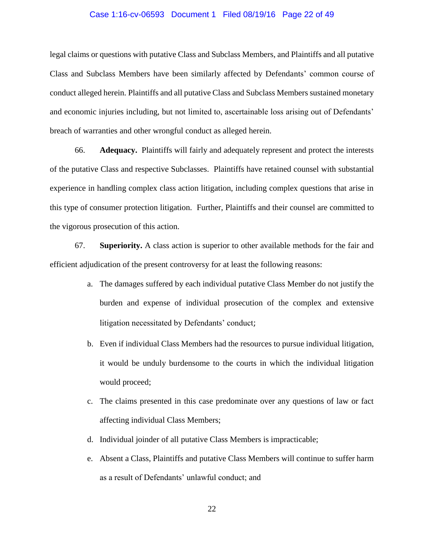#### Case 1:16-cv-06593 Document 1 Filed 08/19/16 Page 22 of 49

legal claims or questions with putative Class and Subclass Members, and Plaintiffs and all putative Class and Subclass Members have been similarly affected by Defendants' common course of conduct alleged herein. Plaintiffs and all putative Class and Subclass Members sustained monetary and economic injuries including, but not limited to, ascertainable loss arising out of Defendants' breach of warranties and other wrongful conduct as alleged herein.

66. **Adequacy.** Plaintiffs will fairly and adequately represent and protect the interests of the putative Class and respective Subclasses. Plaintiffs have retained counsel with substantial experience in handling complex class action litigation, including complex questions that arise in this type of consumer protection litigation. Further, Plaintiffs and their counsel are committed to the vigorous prosecution of this action.

67. **Superiority.** A class action is superior to other available methods for the fair and efficient adjudication of the present controversy for at least the following reasons:

- a. The damages suffered by each individual putative Class Member do not justify the burden and expense of individual prosecution of the complex and extensive litigation necessitated by Defendants' conduct;
- b. Even if individual Class Members had the resources to pursue individual litigation, it would be unduly burdensome to the courts in which the individual litigation would proceed;
- c. The claims presented in this case predominate over any questions of law or fact affecting individual Class Members;
- d. Individual joinder of all putative Class Members is impracticable;
- e. Absent a Class, Plaintiffs and putative Class Members will continue to suffer harm as a result of Defendants' unlawful conduct; and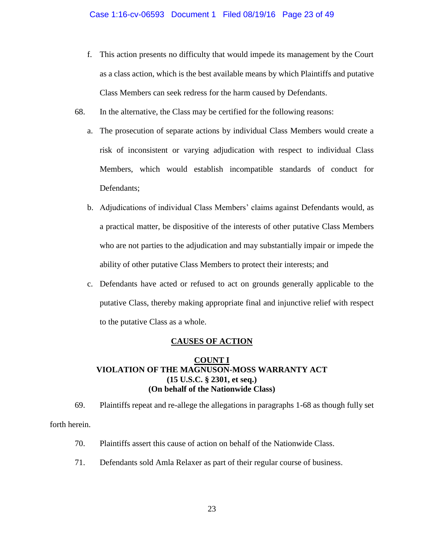### Case 1:16-cv-06593 Document 1 Filed 08/19/16 Page 23 of 49

- f. This action presents no difficulty that would impede its management by the Court as a class action, which is the best available means by which Plaintiffs and putative Class Members can seek redress for the harm caused by Defendants.
- 68. In the alternative, the Class may be certified for the following reasons:
	- a. The prosecution of separate actions by individual Class Members would create a risk of inconsistent or varying adjudication with respect to individual Class Members, which would establish incompatible standards of conduct for Defendants;
	- b. Adjudications of individual Class Members' claims against Defendants would, as a practical matter, be dispositive of the interests of other putative Class Members who are not parties to the adjudication and may substantially impair or impede the ability of other putative Class Members to protect their interests; and
	- c. Defendants have acted or refused to act on grounds generally applicable to the putative Class, thereby making appropriate final and injunctive relief with respect to the putative Class as a whole.

### **CAUSES OF ACTION**

# **COUNT I VIOLATION OF THE MAGNUSON-MOSS WARRANTY ACT (15 U.S.C. § 2301, et seq.) (On behalf of the Nationwide Class)**

69. Plaintiffs repeat and re-allege the allegations in paragraphs 1-68 as though fully set forth herein.

- 70. Plaintiffs assert this cause of action on behalf of the Nationwide Class.
- 71. Defendants sold Amla Relaxer as part of their regular course of business.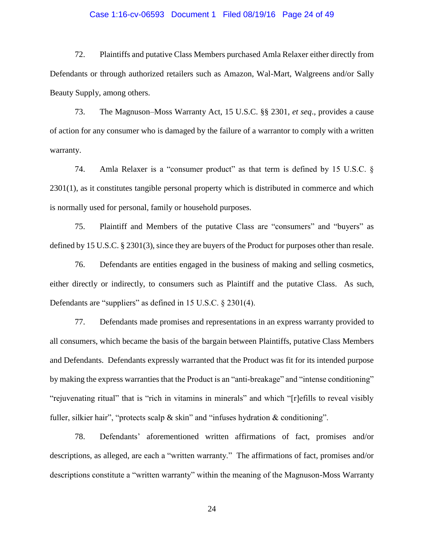#### Case 1:16-cv-06593 Document 1 Filed 08/19/16 Page 24 of 49

72. Plaintiffs and putative Class Members purchased Amla Relaxer either directly from Defendants or through authorized retailers such as Amazon, Wal-Mart, Walgreens and/or Sally Beauty Supply, among others.

73. The Magnuson–Moss Warranty Act, 15 U.S.C. §§ 2301, *et seq*., provides a cause of action for any consumer who is damaged by the failure of a warrantor to comply with a written warranty.

74. Amla Relaxer is a "consumer product" as that term is defined by 15 U.S.C. § 2301(1), as it constitutes tangible personal property which is distributed in commerce and which is normally used for personal, family or household purposes.

75. Plaintiff and Members of the putative Class are "consumers" and "buyers" as defined by 15 U.S.C. § 2301(3), since they are buyers of the Product for purposes other than resale.

76. Defendants are entities engaged in the business of making and selling cosmetics, either directly or indirectly, to consumers such as Plaintiff and the putative Class. As such, Defendants are "suppliers" as defined in 15 U.S.C. § 2301(4).

77. Defendants made promises and representations in an express warranty provided to all consumers, which became the basis of the bargain between Plaintiffs, putative Class Members and Defendants. Defendants expressly warranted that the Product was fit for its intended purpose by making the express warranties that the Product is an "anti-breakage" and "intense conditioning" "rejuvenating ritual" that is "rich in vitamins in minerals" and which "[r]efills to reveal visibly fuller, silkier hair", "protects scalp  $\&$  skin" and "infuses hydration  $\&$  conditioning".

78. Defendants' aforementioned written affirmations of fact, promises and/or descriptions, as alleged, are each a "written warranty." The affirmations of fact, promises and/or descriptions constitute a "written warranty" within the meaning of the Magnuson-Moss Warranty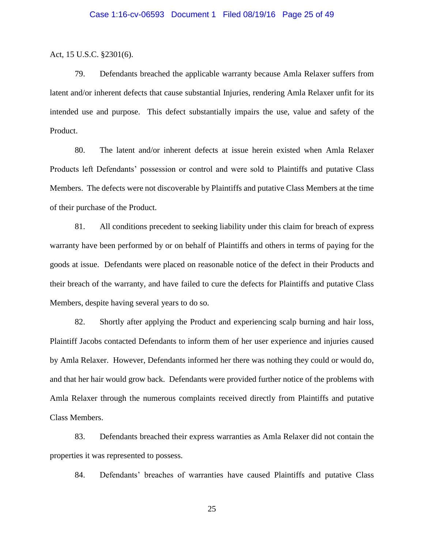Act, 15 U.S.C. §2301(6).

79. Defendants breached the applicable warranty because Amla Relaxer suffers from latent and/or inherent defects that cause substantial Injuries, rendering Amla Relaxer unfit for its intended use and purpose. This defect substantially impairs the use, value and safety of the Product.

80. The latent and/or inherent defects at issue herein existed when Amla Relaxer Products left Defendants' possession or control and were sold to Plaintiffs and putative Class Members. The defects were not discoverable by Plaintiffs and putative Class Members at the time of their purchase of the Product.

81. All conditions precedent to seeking liability under this claim for breach of express warranty have been performed by or on behalf of Plaintiffs and others in terms of paying for the goods at issue. Defendants were placed on reasonable notice of the defect in their Products and their breach of the warranty, and have failed to cure the defects for Plaintiffs and putative Class Members, despite having several years to do so.

82. Shortly after applying the Product and experiencing scalp burning and hair loss, Plaintiff Jacobs contacted Defendants to inform them of her user experience and injuries caused by Amla Relaxer. However, Defendants informed her there was nothing they could or would do, and that her hair would grow back. Defendants were provided further notice of the problems with Amla Relaxer through the numerous complaints received directly from Plaintiffs and putative Class Members.

83. Defendants breached their express warranties as Amla Relaxer did not contain the properties it was represented to possess.

84. Defendants' breaches of warranties have caused Plaintiffs and putative Class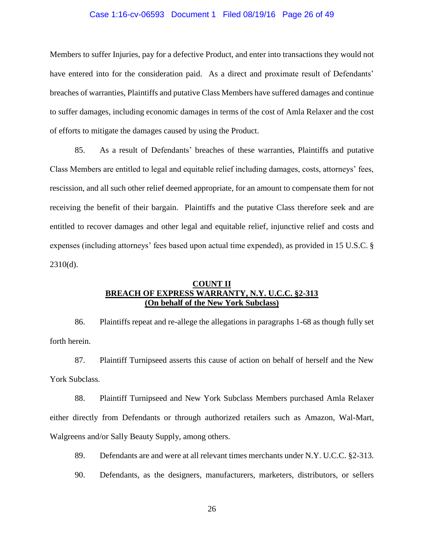#### Case 1:16-cv-06593 Document 1 Filed 08/19/16 Page 26 of 49

Members to suffer Injuries, pay for a defective Product, and enter into transactions they would not have entered into for the consideration paid. As a direct and proximate result of Defendants' breaches of warranties, Plaintiffs and putative Class Members have suffered damages and continue to suffer damages, including economic damages in terms of the cost of Amla Relaxer and the cost of efforts to mitigate the damages caused by using the Product.

85. As a result of Defendants' breaches of these warranties, Plaintiffs and putative Class Members are entitled to legal and equitable relief including damages, costs, attorneys' fees, rescission, and all such other relief deemed appropriate, for an amount to compensate them for not receiving the benefit of their bargain. Plaintiffs and the putative Class therefore seek and are entitled to recover damages and other legal and equitable relief, injunctive relief and costs and expenses (including attorneys' fees based upon actual time expended), as provided in 15 U.S.C. § 2310(d).

# **COUNT II BREACH OF EXPRESS WARRANTY, N.Y. U.C.C. §2-313 (On behalf of the New York Subclass)**

86. Plaintiffs repeat and re-allege the allegations in paragraphs 1-68 as though fully set forth herein.

87. Plaintiff Turnipseed asserts this cause of action on behalf of herself and the New York Subclass.

88. Plaintiff Turnipseed and New York Subclass Members purchased Amla Relaxer either directly from Defendants or through authorized retailers such as Amazon, Wal-Mart, Walgreens and/or Sally Beauty Supply, among others.

89. Defendants are and were at all relevant times merchants under N.Y. U.C.C. §2-313.

90. Defendants, as the designers, manufacturers, marketers, distributors, or sellers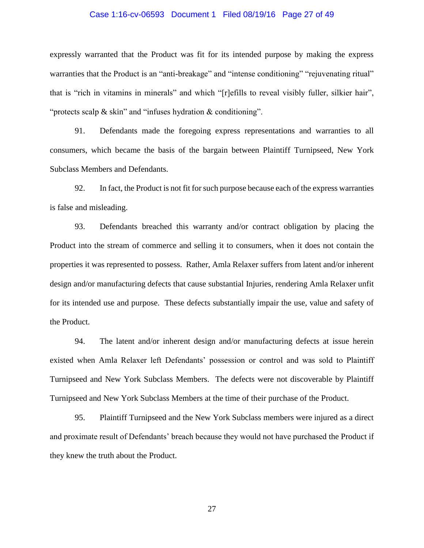#### Case 1:16-cv-06593 Document 1 Filed 08/19/16 Page 27 of 49

expressly warranted that the Product was fit for its intended purpose by making the express warranties that the Product is an "anti-breakage" and "intense conditioning" "rejuvenating ritual" that is "rich in vitamins in minerals" and which "[r]efills to reveal visibly fuller, silkier hair", "protects scalp & skin" and "infuses hydration & conditioning".

91. Defendants made the foregoing express representations and warranties to all consumers, which became the basis of the bargain between Plaintiff Turnipseed, New York Subclass Members and Defendants.

92. In fact, the Product is not fit for such purpose because each of the express warranties is false and misleading.

93. Defendants breached this warranty and/or contract obligation by placing the Product into the stream of commerce and selling it to consumers, when it does not contain the properties it was represented to possess. Rather, Amla Relaxer suffers from latent and/or inherent design and/or manufacturing defects that cause substantial Injuries, rendering Amla Relaxer unfit for its intended use and purpose. These defects substantially impair the use, value and safety of the Product.

94. The latent and/or inherent design and/or manufacturing defects at issue herein existed when Amla Relaxer left Defendants' possession or control and was sold to Plaintiff Turnipseed and New York Subclass Members. The defects were not discoverable by Plaintiff Turnipseed and New York Subclass Members at the time of their purchase of the Product.

95. Plaintiff Turnipseed and the New York Subclass members were injured as a direct and proximate result of Defendants' breach because they would not have purchased the Product if they knew the truth about the Product.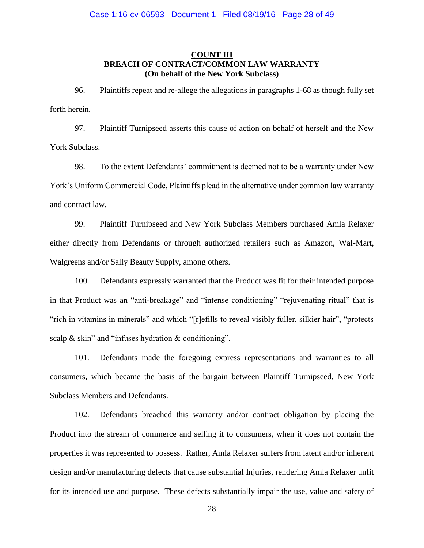# **COUNT III BREACH OF CONTRACT/COMMON LAW WARRANTY (On behalf of the New York Subclass)**

96. Plaintiffs repeat and re-allege the allegations in paragraphs 1-68 as though fully set forth herein.

97. Plaintiff Turnipseed asserts this cause of action on behalf of herself and the New York Subclass.

98. To the extent Defendants' commitment is deemed not to be a warranty under New York's Uniform Commercial Code, Plaintiffs plead in the alternative under common law warranty and contract law.

99. Plaintiff Turnipseed and New York Subclass Members purchased Amla Relaxer either directly from Defendants or through authorized retailers such as Amazon, Wal-Mart, Walgreens and/or Sally Beauty Supply, among others.

100. Defendants expressly warranted that the Product was fit for their intended purpose in that Product was an "anti-breakage" and "intense conditioning" "rejuvenating ritual" that is "rich in vitamins in minerals" and which "[r]efills to reveal visibly fuller, silkier hair", "protects scalp & skin" and "infuses hydration & conditioning".

101. Defendants made the foregoing express representations and warranties to all consumers, which became the basis of the bargain between Plaintiff Turnipseed, New York Subclass Members and Defendants.

102. Defendants breached this warranty and/or contract obligation by placing the Product into the stream of commerce and selling it to consumers, when it does not contain the properties it was represented to possess. Rather, Amla Relaxer suffers from latent and/or inherent design and/or manufacturing defects that cause substantial Injuries, rendering Amla Relaxer unfit for its intended use and purpose. These defects substantially impair the use, value and safety of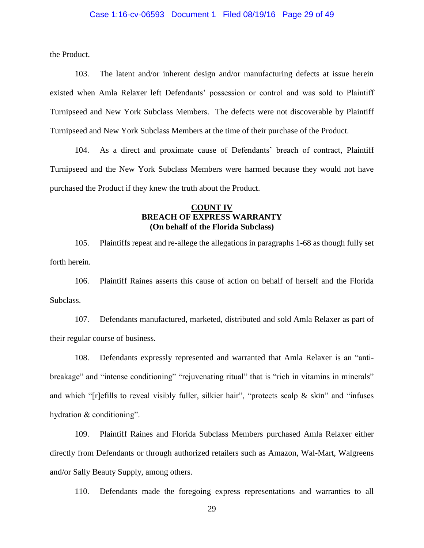the Product.

103. The latent and/or inherent design and/or manufacturing defects at issue herein existed when Amla Relaxer left Defendants' possession or control and was sold to Plaintiff Turnipseed and New York Subclass Members. The defects were not discoverable by Plaintiff Turnipseed and New York Subclass Members at the time of their purchase of the Product.

104. As a direct and proximate cause of Defendants' breach of contract, Plaintiff Turnipseed and the New York Subclass Members were harmed because they would not have purchased the Product if they knew the truth about the Product.

# **COUNT IV BREACH OF EXPRESS WARRANTY (On behalf of the Florida Subclass)**

105. Plaintiffs repeat and re-allege the allegations in paragraphs 1-68 as though fully set forth herein.

106. Plaintiff Raines asserts this cause of action on behalf of herself and the Florida Subclass.

107. Defendants manufactured, marketed, distributed and sold Amla Relaxer as part of their regular course of business.

108. Defendants expressly represented and warranted that Amla Relaxer is an "antibreakage" and "intense conditioning" "rejuvenating ritual" that is "rich in vitamins in minerals" and which "[r]efills to reveal visibly fuller, silkier hair", "protects scalp & skin" and "infuses hydration & conditioning".

109. Plaintiff Raines and Florida Subclass Members purchased Amla Relaxer either directly from Defendants or through authorized retailers such as Amazon, Wal-Mart, Walgreens and/or Sally Beauty Supply, among others.

110. Defendants made the foregoing express representations and warranties to all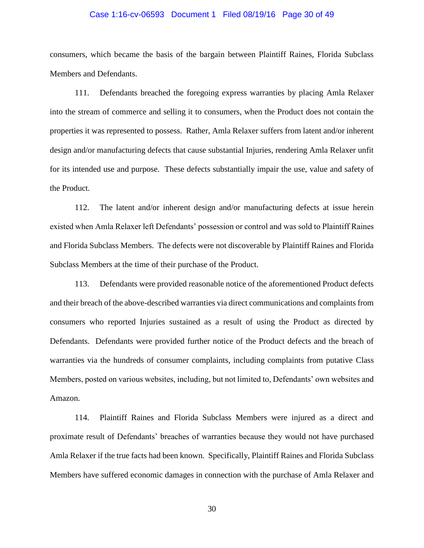#### Case 1:16-cv-06593 Document 1 Filed 08/19/16 Page 30 of 49

consumers, which became the basis of the bargain between Plaintiff Raines, Florida Subclass Members and Defendants.

111. Defendants breached the foregoing express warranties by placing Amla Relaxer into the stream of commerce and selling it to consumers, when the Product does not contain the properties it was represented to possess. Rather, Amla Relaxer suffers from latent and/or inherent design and/or manufacturing defects that cause substantial Injuries, rendering Amla Relaxer unfit for its intended use and purpose. These defects substantially impair the use, value and safety of the Product.

112. The latent and/or inherent design and/or manufacturing defects at issue herein existed when Amla Relaxer left Defendants' possession or control and was sold to Plaintiff Raines and Florida Subclass Members. The defects were not discoverable by Plaintiff Raines and Florida Subclass Members at the time of their purchase of the Product.

113. Defendants were provided reasonable notice of the aforementioned Product defects and their breach of the above-described warranties via direct communications and complaints from consumers who reported Injuries sustained as a result of using the Product as directed by Defendants. Defendants were provided further notice of the Product defects and the breach of warranties via the hundreds of consumer complaints, including complaints from putative Class Members, posted on various websites, including, but not limited to, Defendants' own websites and Amazon.

114. Plaintiff Raines and Florida Subclass Members were injured as a direct and proximate result of Defendants' breaches of warranties because they would not have purchased Amla Relaxer if the true facts had been known. Specifically, Plaintiff Raines and Florida Subclass Members have suffered economic damages in connection with the purchase of Amla Relaxer and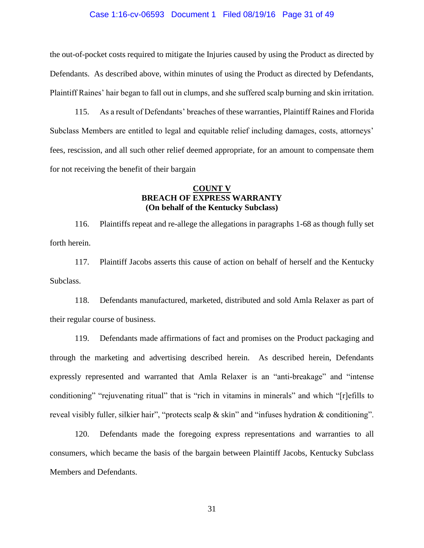#### Case 1:16-cv-06593 Document 1 Filed 08/19/16 Page 31 of 49

the out-of-pocket costs required to mitigate the Injuries caused by using the Product as directed by Defendants. As described above, within minutes of using the Product as directed by Defendants, Plaintiff Raines' hair began to fall out in clumps, and she suffered scalp burning and skin irritation.

115. As a result of Defendants' breaches of these warranties, Plaintiff Raines and Florida Subclass Members are entitled to legal and equitable relief including damages, costs, attorneys' fees, rescission, and all such other relief deemed appropriate, for an amount to compensate them for not receiving the benefit of their bargain

## **COUNT V BREACH OF EXPRESS WARRANTY (On behalf of the Kentucky Subclass)**

116. Plaintiffs repeat and re-allege the allegations in paragraphs 1-68 as though fully set forth herein.

117. Plaintiff Jacobs asserts this cause of action on behalf of herself and the Kentucky Subclass.

118. Defendants manufactured, marketed, distributed and sold Amla Relaxer as part of their regular course of business.

119. Defendants made affirmations of fact and promises on the Product packaging and through the marketing and advertising described herein. As described herein, Defendants expressly represented and warranted that Amla Relaxer is an "anti-breakage" and "intense conditioning" "rejuvenating ritual" that is "rich in vitamins in minerals" and which "[r]efills to reveal visibly fuller, silkier hair", "protects scalp & skin" and "infuses hydration & conditioning".

120. Defendants made the foregoing express representations and warranties to all consumers, which became the basis of the bargain between Plaintiff Jacobs, Kentucky Subclass Members and Defendants.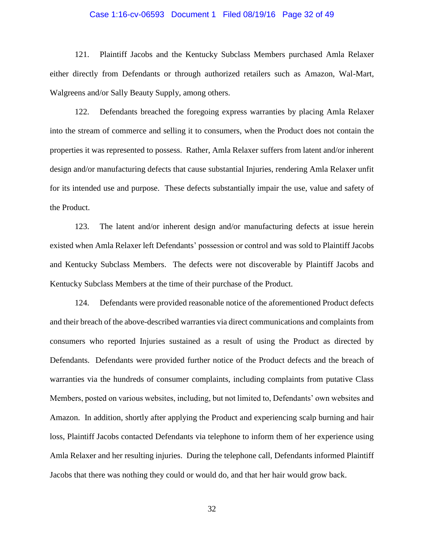#### Case 1:16-cv-06593 Document 1 Filed 08/19/16 Page 32 of 49

121. Plaintiff Jacobs and the Kentucky Subclass Members purchased Amla Relaxer either directly from Defendants or through authorized retailers such as Amazon, Wal-Mart, Walgreens and/or Sally Beauty Supply, among others.

122. Defendants breached the foregoing express warranties by placing Amla Relaxer into the stream of commerce and selling it to consumers, when the Product does not contain the properties it was represented to possess. Rather, Amla Relaxer suffers from latent and/or inherent design and/or manufacturing defects that cause substantial Injuries, rendering Amla Relaxer unfit for its intended use and purpose. These defects substantially impair the use, value and safety of the Product.

123. The latent and/or inherent design and/or manufacturing defects at issue herein existed when Amla Relaxer left Defendants' possession or control and was sold to Plaintiff Jacobs and Kentucky Subclass Members. The defects were not discoverable by Plaintiff Jacobs and Kentucky Subclass Members at the time of their purchase of the Product.

124. Defendants were provided reasonable notice of the aforementioned Product defects and their breach of the above-described warranties via direct communications and complaints from consumers who reported Injuries sustained as a result of using the Product as directed by Defendants. Defendants were provided further notice of the Product defects and the breach of warranties via the hundreds of consumer complaints, including complaints from putative Class Members, posted on various websites, including, but not limited to, Defendants' own websites and Amazon. In addition, shortly after applying the Product and experiencing scalp burning and hair loss, Plaintiff Jacobs contacted Defendants via telephone to inform them of her experience using Amla Relaxer and her resulting injuries. During the telephone call, Defendants informed Plaintiff Jacobs that there was nothing they could or would do, and that her hair would grow back.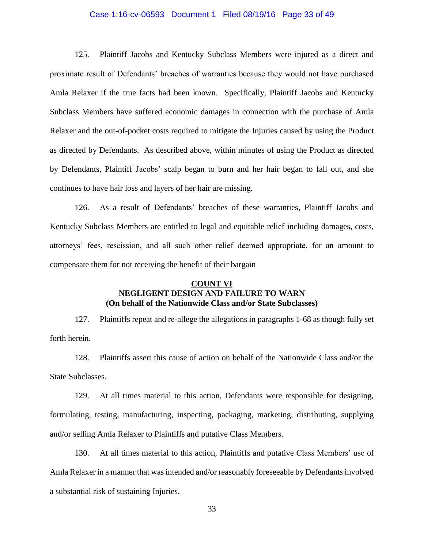#### Case 1:16-cv-06593 Document 1 Filed 08/19/16 Page 33 of 49

125. Plaintiff Jacobs and Kentucky Subclass Members were injured as a direct and proximate result of Defendants' breaches of warranties because they would not have purchased Amla Relaxer if the true facts had been known. Specifically, Plaintiff Jacobs and Kentucky Subclass Members have suffered economic damages in connection with the purchase of Amla Relaxer and the out-of-pocket costs required to mitigate the Injuries caused by using the Product as directed by Defendants. As described above, within minutes of using the Product as directed by Defendants, Plaintiff Jacobs' scalp began to burn and her hair began to fall out, and she continues to have hair loss and layers of her hair are missing.

126. As a result of Defendants' breaches of these warranties, Plaintiff Jacobs and Kentucky Subclass Members are entitled to legal and equitable relief including damages, costs, attorneys' fees, rescission, and all such other relief deemed appropriate, for an amount to compensate them for not receiving the benefit of their bargain

# **COUNT VI NEGLIGENT DESIGN AND FAILURE TO WARN (On behalf of the Nationwide Class and/or State Subclasses)**

127. Plaintiffs repeat and re-allege the allegations in paragraphs 1-68 as though fully set forth herein.

128. Plaintiffs assert this cause of action on behalf of the Nationwide Class and/or the State Subclasses.

129. At all times material to this action, Defendants were responsible for designing, formulating, testing, manufacturing, inspecting, packaging, marketing, distributing, supplying and/or selling Amla Relaxer to Plaintiffs and putative Class Members.

130. At all times material to this action, Plaintiffs and putative Class Members' use of Amla Relaxer in a manner that was intended and/or reasonably foreseeable by Defendants involved a substantial risk of sustaining Injuries.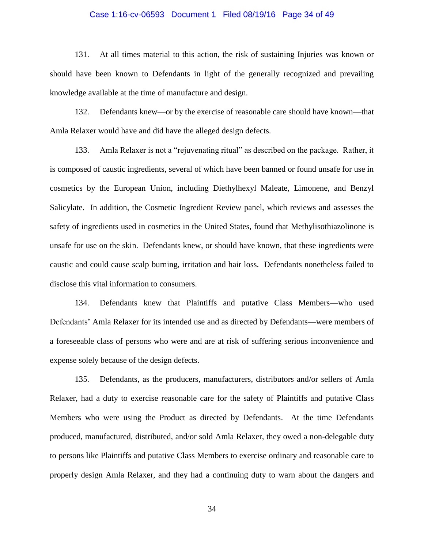#### Case 1:16-cv-06593 Document 1 Filed 08/19/16 Page 34 of 49

131. At all times material to this action, the risk of sustaining Injuries was known or should have been known to Defendants in light of the generally recognized and prevailing knowledge available at the time of manufacture and design.

132. Defendants knew—or by the exercise of reasonable care should have known—that Amla Relaxer would have and did have the alleged design defects.

133. Amla Relaxer is not a "rejuvenating ritual" as described on the package. Rather, it is composed of caustic ingredients, several of which have been banned or found unsafe for use in cosmetics by the European Union, including Diethylhexyl Maleate, Limonene, and Benzyl Salicylate. In addition, the Cosmetic Ingredient Review panel, which reviews and assesses the safety of ingredients used in cosmetics in the United States, found that Methylisothiazolinone is unsafe for use on the skin. Defendants knew, or should have known, that these ingredients were caustic and could cause scalp burning, irritation and hair loss. Defendants nonetheless failed to disclose this vital information to consumers.

134. Defendants knew that Plaintiffs and putative Class Members—who used Defendants' Amla Relaxer for its intended use and as directed by Defendants—were members of a foreseeable class of persons who were and are at risk of suffering serious inconvenience and expense solely because of the design defects.

135. Defendants, as the producers, manufacturers, distributors and/or sellers of Amla Relaxer, had a duty to exercise reasonable care for the safety of Plaintiffs and putative Class Members who were using the Product as directed by Defendants. At the time Defendants produced, manufactured, distributed, and/or sold Amla Relaxer, they owed a non-delegable duty to persons like Plaintiffs and putative Class Members to exercise ordinary and reasonable care to properly design Amla Relaxer, and they had a continuing duty to warn about the dangers and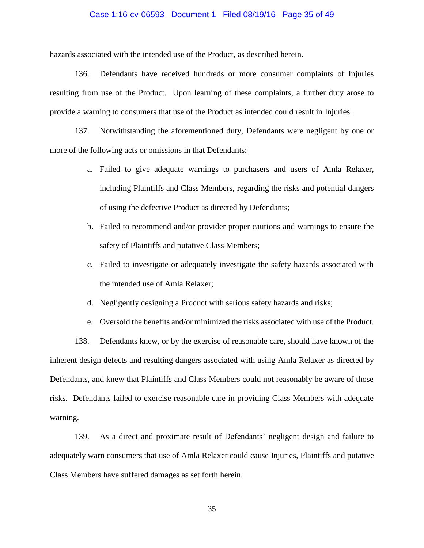#### Case 1:16-cv-06593 Document 1 Filed 08/19/16 Page 35 of 49

hazards associated with the intended use of the Product, as described herein.

136. Defendants have received hundreds or more consumer complaints of Injuries resulting from use of the Product. Upon learning of these complaints, a further duty arose to provide a warning to consumers that use of the Product as intended could result in Injuries.

137. Notwithstanding the aforementioned duty, Defendants were negligent by one or more of the following acts or omissions in that Defendants:

- a. Failed to give adequate warnings to purchasers and users of Amla Relaxer, including Plaintiffs and Class Members, regarding the risks and potential dangers of using the defective Product as directed by Defendants;
- b. Failed to recommend and/or provider proper cautions and warnings to ensure the safety of Plaintiffs and putative Class Members;
- c. Failed to investigate or adequately investigate the safety hazards associated with the intended use of Amla Relaxer;
- d. Negligently designing a Product with serious safety hazards and risks;
- e. Oversold the benefits and/or minimized the risks associated with use of the Product.

138. Defendants knew, or by the exercise of reasonable care, should have known of the inherent design defects and resulting dangers associated with using Amla Relaxer as directed by Defendants, and knew that Plaintiffs and Class Members could not reasonably be aware of those risks. Defendants failed to exercise reasonable care in providing Class Members with adequate warning.

139. As a direct and proximate result of Defendants' negligent design and failure to adequately warn consumers that use of Amla Relaxer could cause Injuries, Plaintiffs and putative Class Members have suffered damages as set forth herein.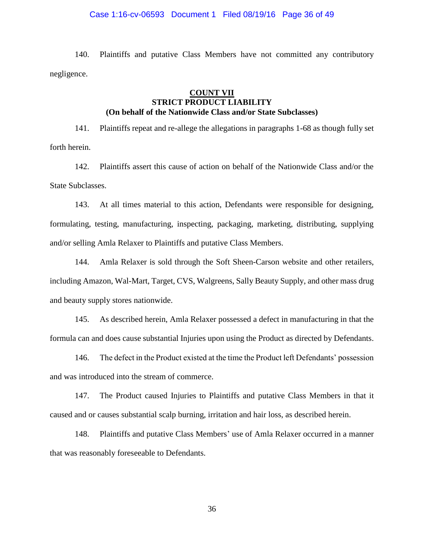#### Case 1:16-cv-06593 Document 1 Filed 08/19/16 Page 36 of 49

140. Plaintiffs and putative Class Members have not committed any contributory negligence.

# **COUNT VII STRICT PRODUCT LIABILITY (On behalf of the Nationwide Class and/or State Subclasses)**

141. Plaintiffs repeat and re-allege the allegations in paragraphs 1-68 as though fully set forth herein.

142. Plaintiffs assert this cause of action on behalf of the Nationwide Class and/or the State Subclasses.

143. At all times material to this action, Defendants were responsible for designing, formulating, testing, manufacturing, inspecting, packaging, marketing, distributing, supplying and/or selling Amla Relaxer to Plaintiffs and putative Class Members.

144. Amla Relaxer is sold through the Soft Sheen-Carson website and other retailers, including Amazon, Wal-Mart, Target, CVS, Walgreens, Sally Beauty Supply, and other mass drug and beauty supply stores nationwide.

145. As described herein, Amla Relaxer possessed a defect in manufacturing in that the formula can and does cause substantial Injuries upon using the Product as directed by Defendants.

146. The defect in the Product existed at the time the Product left Defendants' possession and was introduced into the stream of commerce.

147. The Product caused Injuries to Plaintiffs and putative Class Members in that it caused and or causes substantial scalp burning, irritation and hair loss, as described herein.

148. Plaintiffs and putative Class Members' use of Amla Relaxer occurred in a manner that was reasonably foreseeable to Defendants.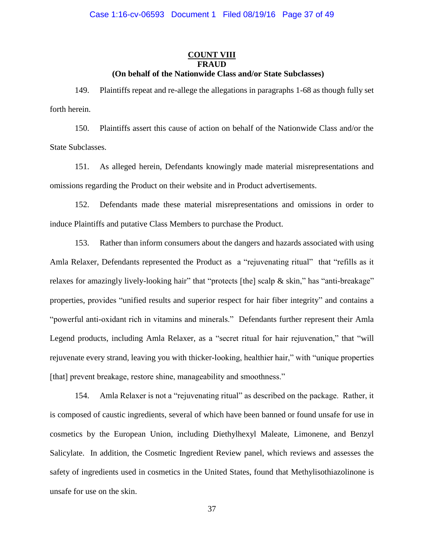### **COUNT VIII FRAUD (On behalf of the Nationwide Class and/or State Subclasses)**

149. Plaintiffs repeat and re-allege the allegations in paragraphs 1-68 as though fully set forth herein.

150. Plaintiffs assert this cause of action on behalf of the Nationwide Class and/or the State Subclasses.

151. As alleged herein, Defendants knowingly made material misrepresentations and omissions regarding the Product on their website and in Product advertisements.

152. Defendants made these material misrepresentations and omissions in order to induce Plaintiffs and putative Class Members to purchase the Product.

153. Rather than inform consumers about the dangers and hazards associated with using Amla Relaxer, Defendants represented the Product as a "rejuvenating ritual" that "refills as it relaxes for amazingly lively-looking hair" that "protects [the] scalp & skin," has "anti-breakage" properties, provides "unified results and superior respect for hair fiber integrity" and contains a "powerful anti-oxidant rich in vitamins and minerals." Defendants further represent their Amla Legend products, including Amla Relaxer, as a "secret ritual for hair rejuvenation," that "will rejuvenate every strand, leaving you with thicker-looking, healthier hair," with "unique properties [that] prevent breakage, restore shine, manageability and smoothness."

154. Amla Relaxer is not a "rejuvenating ritual" as described on the package. Rather, it is composed of caustic ingredients, several of which have been banned or found unsafe for use in cosmetics by the European Union, including Diethylhexyl Maleate, Limonene, and Benzyl Salicylate. In addition, the Cosmetic Ingredient Review panel, which reviews and assesses the safety of ingredients used in cosmetics in the United States, found that Methylisothiazolinone is unsafe for use on the skin.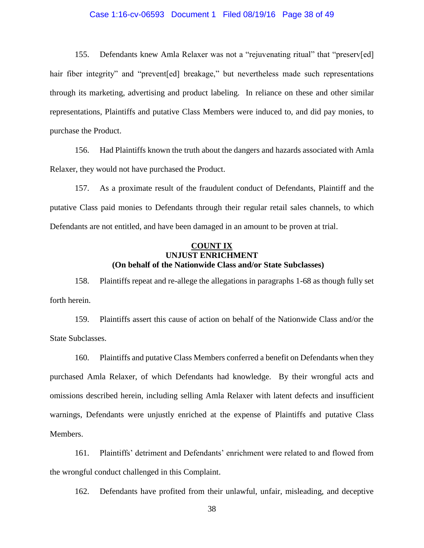#### Case 1:16-cv-06593 Document 1 Filed 08/19/16 Page 38 of 49

155. Defendants knew Amla Relaxer was not a "rejuvenating ritual" that "preserv[ed] hair fiber integrity" and "prevent[ed] breakage," but nevertheless made such representations through its marketing, advertising and product labeling. In reliance on these and other similar representations, Plaintiffs and putative Class Members were induced to, and did pay monies, to purchase the Product.

156. Had Plaintiffs known the truth about the dangers and hazards associated with Amla Relaxer, they would not have purchased the Product.

157. As a proximate result of the fraudulent conduct of Defendants, Plaintiff and the putative Class paid monies to Defendants through their regular retail sales channels, to which Defendants are not entitled, and have been damaged in an amount to be proven at trial.

# **COUNT IX UNJUST ENRICHMENT (On behalf of the Nationwide Class and/or State Subclasses)**

158. Plaintiffs repeat and re-allege the allegations in paragraphs 1-68 as though fully set forth herein.

159. Plaintiffs assert this cause of action on behalf of the Nationwide Class and/or the State Subclasses.

160. Plaintiffs and putative Class Members conferred a benefit on Defendants when they purchased Amla Relaxer, of which Defendants had knowledge. By their wrongful acts and omissions described herein, including selling Amla Relaxer with latent defects and insufficient warnings, Defendants were unjustly enriched at the expense of Plaintiffs and putative Class Members.

161. Plaintiffs' detriment and Defendants' enrichment were related to and flowed from the wrongful conduct challenged in this Complaint.

162. Defendants have profited from their unlawful, unfair, misleading, and deceptive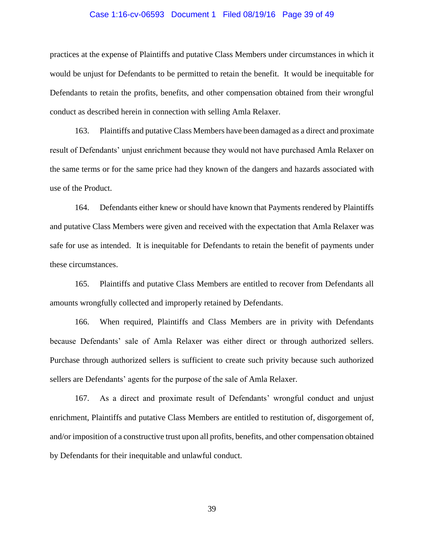#### Case 1:16-cv-06593 Document 1 Filed 08/19/16 Page 39 of 49

practices at the expense of Plaintiffs and putative Class Members under circumstances in which it would be unjust for Defendants to be permitted to retain the benefit. It would be inequitable for Defendants to retain the profits, benefits, and other compensation obtained from their wrongful conduct as described herein in connection with selling Amla Relaxer.

163. Plaintiffs and putative Class Members have been damaged as a direct and proximate result of Defendants' unjust enrichment because they would not have purchased Amla Relaxer on the same terms or for the same price had they known of the dangers and hazards associated with use of the Product.

164. Defendants either knew or should have known that Payments rendered by Plaintiffs and putative Class Members were given and received with the expectation that Amla Relaxer was safe for use as intended. It is inequitable for Defendants to retain the benefit of payments under these circumstances.

165. Plaintiffs and putative Class Members are entitled to recover from Defendants all amounts wrongfully collected and improperly retained by Defendants.

166. When required, Plaintiffs and Class Members are in privity with Defendants because Defendants' sale of Amla Relaxer was either direct or through authorized sellers. Purchase through authorized sellers is sufficient to create such privity because such authorized sellers are Defendants' agents for the purpose of the sale of Amla Relaxer.

167. As a direct and proximate result of Defendants' wrongful conduct and unjust enrichment, Plaintiffs and putative Class Members are entitled to restitution of, disgorgement of, and/or imposition of a constructive trust upon all profits, benefits, and other compensation obtained by Defendants for their inequitable and unlawful conduct.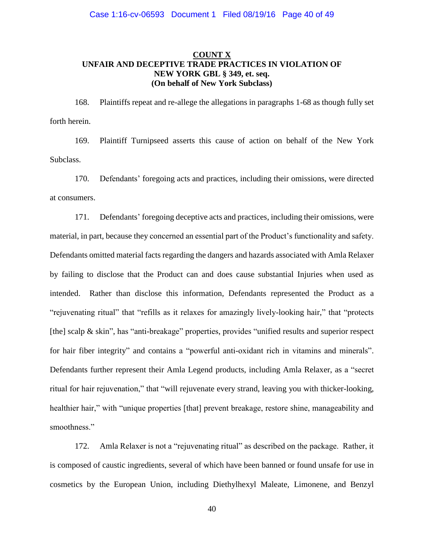# **COUNT X UNFAIR AND DECEPTIVE TRADE PRACTICES IN VIOLATION OF NEW YORK GBL § 349, et. seq. (On behalf of New York Subclass)**

168. Plaintiffs repeat and re-allege the allegations in paragraphs 1-68 as though fully set forth herein.

169. Plaintiff Turnipseed asserts this cause of action on behalf of the New York Subclass.

170. Defendants' foregoing acts and practices, including their omissions, were directed at consumers.

171. Defendants' foregoing deceptive acts and practices, including their omissions, were material, in part, because they concerned an essential part of the Product's functionality and safety. Defendants omitted material facts regarding the dangers and hazards associated with Amla Relaxer by failing to disclose that the Product can and does cause substantial Injuries when used as intended. Rather than disclose this information, Defendants represented the Product as a "rejuvenating ritual" that "refills as it relaxes for amazingly lively-looking hair," that "protects [the] scalp & skin", has "anti-breakage" properties, provides "unified results and superior respect for hair fiber integrity" and contains a "powerful anti-oxidant rich in vitamins and minerals". Defendants further represent their Amla Legend products, including Amla Relaxer, as a "secret ritual for hair rejuvenation," that "will rejuvenate every strand, leaving you with thicker-looking, healthier hair," with "unique properties [that] prevent breakage, restore shine, manageability and smoothness."

172. Amla Relaxer is not a "rejuvenating ritual" as described on the package. Rather, it is composed of caustic ingredients, several of which have been banned or found unsafe for use in cosmetics by the European Union, including Diethylhexyl Maleate, Limonene, and Benzyl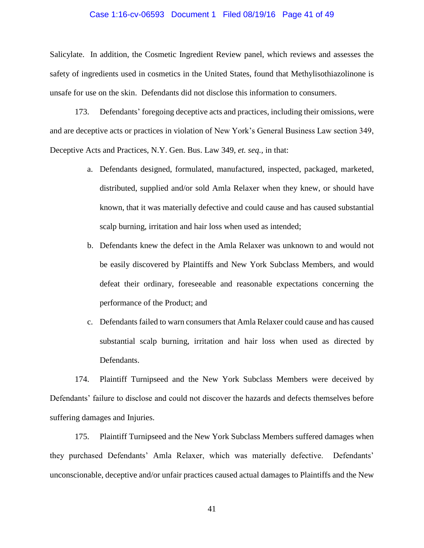#### Case 1:16-cv-06593 Document 1 Filed 08/19/16 Page 41 of 49

Salicylate. In addition, the Cosmetic Ingredient Review panel, which reviews and assesses the safety of ingredients used in cosmetics in the United States, found that Methylisothiazolinone is unsafe for use on the skin. Defendants did not disclose this information to consumers.

173. Defendants' foregoing deceptive acts and practices, including their omissions, were and are deceptive acts or practices in violation of New York's General Business Law section 349, Deceptive Acts and Practices, N.Y. Gen. Bus. Law 349, *et. seq.,* in that:

- a. Defendants designed, formulated, manufactured, inspected, packaged, marketed, distributed, supplied and/or sold Amla Relaxer when they knew, or should have known, that it was materially defective and could cause and has caused substantial scalp burning, irritation and hair loss when used as intended;
- b. Defendants knew the defect in the Amla Relaxer was unknown to and would not be easily discovered by Plaintiffs and New York Subclass Members, and would defeat their ordinary, foreseeable and reasonable expectations concerning the performance of the Product; and
- c. Defendants failed to warn consumers that Amla Relaxer could cause and has caused substantial scalp burning, irritation and hair loss when used as directed by Defendants.

174. Plaintiff Turnipseed and the New York Subclass Members were deceived by Defendants' failure to disclose and could not discover the hazards and defects themselves before suffering damages and Injuries.

175. Plaintiff Turnipseed and the New York Subclass Members suffered damages when they purchased Defendants' Amla Relaxer, which was materially defective. Defendants' unconscionable, deceptive and/or unfair practices caused actual damages to Plaintiffs and the New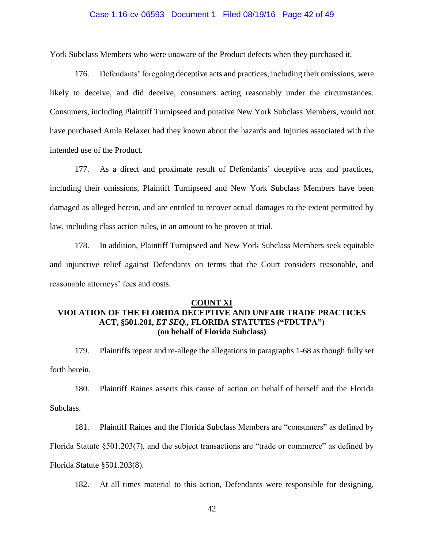#### Case 1:16-cv-06593 Document 1 Filed 08/19/16 Page 42 of 49

York Subclass Members who were unaware of the Product defects when they purchased it.

176. Defendants' foregoing deceptive acts and practices, including their omissions, were likely to deceive, and did deceive, consumers acting reasonably under the circumstances. Consumers, including Plaintiff Turnipseed and putative New York Subclass Members, would not have purchased Amla Relaxer had they known about the hazards and Injuries associated with the intended use of the Product.

177. As a direct and proximate result of Defendants' deceptive acts and practices, including their omissions, Plaintiff Turnipseed and New York Subclass Members have been damaged as alleged herein, and are entitled to recover actual damages to the extent permitted by law, including class action rules, in an amount to be proven at trial.

178. In addition, Plaintiff Turnipseed and New York Subclass Members seek equitable and injunctive relief against Defendants on terms that the Court considers reasonable, and reasonable attorneys' fees and costs.

#### **COUNT XI**

# **VIOLATION OF THE FLORIDA DECEPTIVE AND UNFAIR TRADE PRACTICES ACT, §501.201,** *ET SEQ.,* **FLORIDA STATUTES ("FDUTPA") (on behalf of Florida Subclass)**

179. Plaintiffs repeat and re-allege the allegations in paragraphs 1-68 as though fully set forth herein.

180. Plaintiff Raines asserts this cause of action on behalf of herself and the Florida Subclass.

181. Plaintiff Raines and the Florida Subclass Members are "consumers" as defined by

Florida Statute §501.203(7), and the subject transactions are "trade or commerce" as defined by

Florida Statute §501.203(8).

182. At all times material to this action, Defendants were responsible for designing,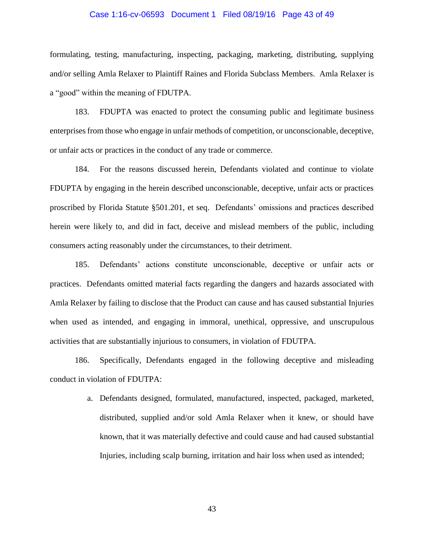#### Case 1:16-cv-06593 Document 1 Filed 08/19/16 Page 43 of 49

formulating, testing, manufacturing, inspecting, packaging, marketing, distributing, supplying and/or selling Amla Relaxer to Plaintiff Raines and Florida Subclass Members. Amla Relaxer is a "good" within the meaning of FDUTPA.

183. FDUPTA was enacted to protect the consuming public and legitimate business enterprises from those who engage in unfair methods of competition, or unconscionable, deceptive, or unfair acts or practices in the conduct of any trade or commerce.

184. For the reasons discussed herein, Defendants violated and continue to violate FDUPTA by engaging in the herein described unconscionable, deceptive, unfair acts or practices proscribed by Florida Statute §501.201, et seq. Defendants' omissions and practices described herein were likely to, and did in fact, deceive and mislead members of the public, including consumers acting reasonably under the circumstances, to their detriment.

185. Defendants' actions constitute unconscionable, deceptive or unfair acts or practices. Defendants omitted material facts regarding the dangers and hazards associated with Amla Relaxer by failing to disclose that the Product can cause and has caused substantial Injuries when used as intended, and engaging in immoral, unethical, oppressive, and unscrupulous activities that are substantially injurious to consumers, in violation of FDUTPA.

186. Specifically, Defendants engaged in the following deceptive and misleading conduct in violation of FDUTPA:

> a. Defendants designed, formulated, manufactured, inspected, packaged, marketed, distributed, supplied and/or sold Amla Relaxer when it knew, or should have known, that it was materially defective and could cause and had caused substantial Injuries, including scalp burning, irritation and hair loss when used as intended;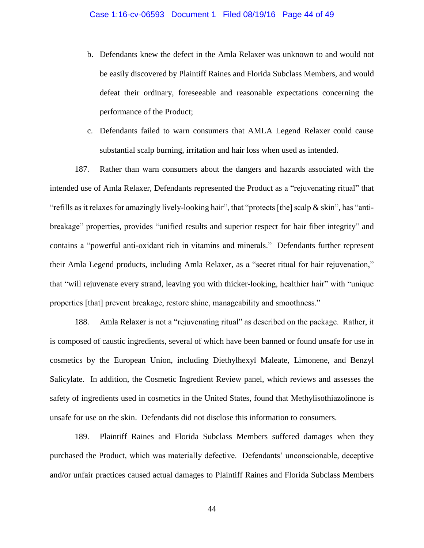- b. Defendants knew the defect in the Amla Relaxer was unknown to and would not be easily discovered by Plaintiff Raines and Florida Subclass Members, and would defeat their ordinary, foreseeable and reasonable expectations concerning the performance of the Product;
- c. Defendants failed to warn consumers that AMLA Legend Relaxer could cause substantial scalp burning, irritation and hair loss when used as intended.

187. Rather than warn consumers about the dangers and hazards associated with the intended use of Amla Relaxer, Defendants represented the Product as a "rejuvenating ritual" that "refills as it relaxes for amazingly lively-looking hair", that "protects [the] scalp & skin", has "antibreakage" properties, provides "unified results and superior respect for hair fiber integrity" and contains a "powerful anti-oxidant rich in vitamins and minerals." Defendants further represent their Amla Legend products, including Amla Relaxer, as a "secret ritual for hair rejuvenation," that "will rejuvenate every strand, leaving you with thicker-looking, healthier hair" with "unique properties [that] prevent breakage, restore shine, manageability and smoothness."

188. Amla Relaxer is not a "rejuvenating ritual" as described on the package. Rather, it is composed of caustic ingredients, several of which have been banned or found unsafe for use in cosmetics by the European Union, including Diethylhexyl Maleate, Limonene, and Benzyl Salicylate. In addition, the Cosmetic Ingredient Review panel, which reviews and assesses the safety of ingredients used in cosmetics in the United States, found that Methylisothiazolinone is unsafe for use on the skin. Defendants did not disclose this information to consumers.

189. Plaintiff Raines and Florida Subclass Members suffered damages when they purchased the Product, which was materially defective. Defendants' unconscionable, deceptive and/or unfair practices caused actual damages to Plaintiff Raines and Florida Subclass Members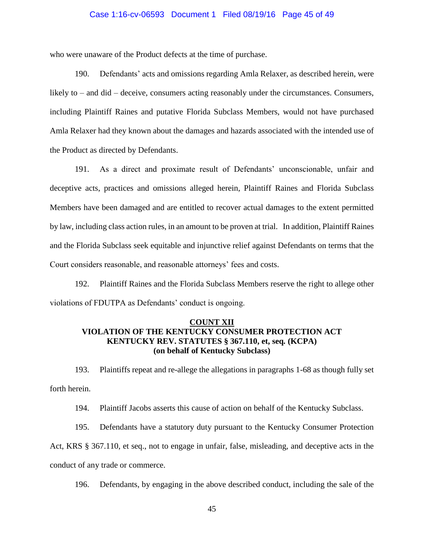#### Case 1:16-cv-06593 Document 1 Filed 08/19/16 Page 45 of 49

who were unaware of the Product defects at the time of purchase.

190. Defendants' acts and omissions regarding Amla Relaxer, as described herein, were likely to – and did – deceive, consumers acting reasonably under the circumstances. Consumers, including Plaintiff Raines and putative Florida Subclass Members, would not have purchased Amla Relaxer had they known about the damages and hazards associated with the intended use of the Product as directed by Defendants.

191. As a direct and proximate result of Defendants' unconscionable, unfair and deceptive acts, practices and omissions alleged herein, Plaintiff Raines and Florida Subclass Members have been damaged and are entitled to recover actual damages to the extent permitted by law, including class action rules, in an amount to be proven at trial. In addition, Plaintiff Raines and the Florida Subclass seek equitable and injunctive relief against Defendants on terms that the Court considers reasonable, and reasonable attorneys' fees and costs.

192. Plaintiff Raines and the Florida Subclass Members reserve the right to allege other violations of FDUTPA as Defendants' conduct is ongoing.

## **COUNT XII VIOLATION OF THE KENTUCKY CONSUMER PROTECTION ACT KENTUCKY REV. STATUTES § 367.110, et, seq***.* **(KCPA) (on behalf of Kentucky Subclass)**

193. Plaintiffs repeat and re-allege the allegations in paragraphs 1-68 as though fully set forth herein.

194. Plaintiff Jacobs asserts this cause of action on behalf of the Kentucky Subclass.

195. Defendants have a statutory duty pursuant to the Kentucky Consumer Protection Act, KRS § 367.110, et seq., not to engage in unfair, false, misleading, and deceptive acts in the conduct of any trade or commerce.

196. Defendants, by engaging in the above described conduct, including the sale of the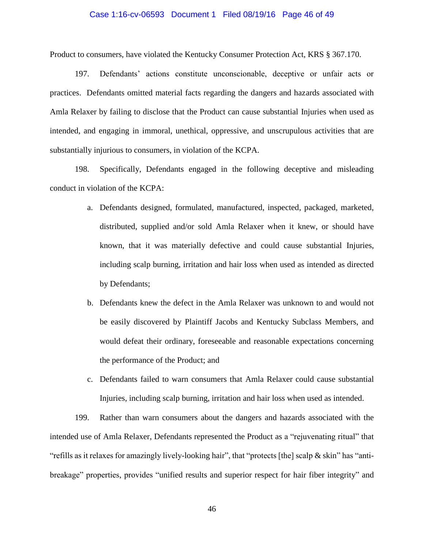#### Case 1:16-cv-06593 Document 1 Filed 08/19/16 Page 46 of 49

Product to consumers, have violated the Kentucky Consumer Protection Act, KRS § 367.170.

197. Defendants' actions constitute unconscionable, deceptive or unfair acts or practices. Defendants omitted material facts regarding the dangers and hazards associated with Amla Relaxer by failing to disclose that the Product can cause substantial Injuries when used as intended, and engaging in immoral, unethical, oppressive, and unscrupulous activities that are substantially injurious to consumers, in violation of the KCPA.

198. Specifically, Defendants engaged in the following deceptive and misleading conduct in violation of the KCPA:

- a. Defendants designed, formulated, manufactured, inspected, packaged, marketed, distributed, supplied and/or sold Amla Relaxer when it knew, or should have known, that it was materially defective and could cause substantial Injuries, including scalp burning, irritation and hair loss when used as intended as directed by Defendants;
- b. Defendants knew the defect in the Amla Relaxer was unknown to and would not be easily discovered by Plaintiff Jacobs and Kentucky Subclass Members, and would defeat their ordinary, foreseeable and reasonable expectations concerning the performance of the Product; and
- c. Defendants failed to warn consumers that Amla Relaxer could cause substantial Injuries, including scalp burning, irritation and hair loss when used as intended.

199. Rather than warn consumers about the dangers and hazards associated with the intended use of Amla Relaxer, Defendants represented the Product as a "rejuvenating ritual" that "refills as it relaxes for amazingly lively-looking hair", that "protects [the] scalp & skin" has "antibreakage" properties, provides "unified results and superior respect for hair fiber integrity" and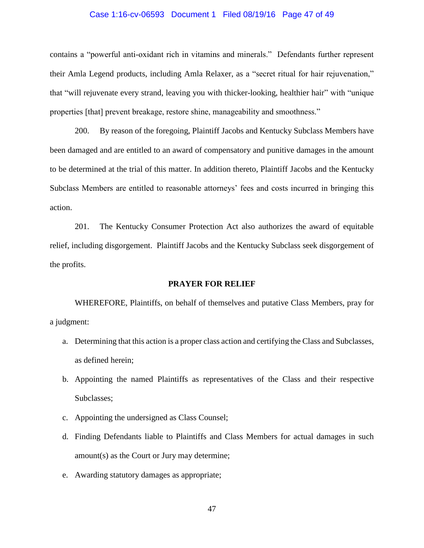#### Case 1:16-cv-06593 Document 1 Filed 08/19/16 Page 47 of 49

contains a "powerful anti-oxidant rich in vitamins and minerals." Defendants further represent their Amla Legend products, including Amla Relaxer, as a "secret ritual for hair rejuvenation," that "will rejuvenate every strand, leaving you with thicker-looking, healthier hair" with "unique properties [that] prevent breakage, restore shine, manageability and smoothness."

200. By reason of the foregoing, Plaintiff Jacobs and Kentucky Subclass Members have been damaged and are entitled to an award of compensatory and punitive damages in the amount to be determined at the trial of this matter. In addition thereto, Plaintiff Jacobs and the Kentucky Subclass Members are entitled to reasonable attorneys' fees and costs incurred in bringing this action.

201. The Kentucky Consumer Protection Act also authorizes the award of equitable relief, including disgorgement. Plaintiff Jacobs and the Kentucky Subclass seek disgorgement of the profits.

#### **PRAYER FOR RELIEF**

WHEREFORE, Plaintiffs, on behalf of themselves and putative Class Members, pray for a judgment:

- a. Determining that this action is a proper class action and certifying the Class and Subclasses, as defined herein;
- b. Appointing the named Plaintiffs as representatives of the Class and their respective Subclasses;
- c. Appointing the undersigned as Class Counsel;
- d. Finding Defendants liable to Plaintiffs and Class Members for actual damages in such amount(s) as the Court or Jury may determine;
- e. Awarding statutory damages as appropriate;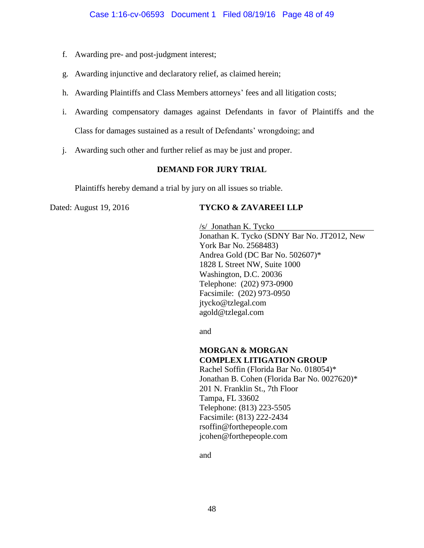- f. Awarding pre- and post-judgment interest;
- g. Awarding injunctive and declaratory relief, as claimed herein;
- h. Awarding Plaintiffs and Class Members attorneys' fees and all litigation costs;
- i. Awarding compensatory damages against Defendants in favor of Plaintiffs and the Class for damages sustained as a result of Defendants' wrongdoing; and
- j. Awarding such other and further relief as may be just and proper.

# **DEMAND FOR JURY TRIAL**

Plaintiffs hereby demand a trial by jury on all issues so triable.

### Dated: August 19, 2016 **TYCKO & ZAVAREEI LLP**

/s/ Jonathan K. Tycko Jonathan K. Tycko (SDNY Bar No. JT2012, New York Bar No. 2568483) Andrea Gold (DC Bar No. 502607)\* 1828 L Street NW, Suite 1000 Washington, D.C. 20036 Telephone: (202) 973-0900 Facsimile: (202) 973-0950 jtycko@tzlegal.com [agold@tzlegal.com](mailto:agold@tzlegal.com)

and

### **MORGAN & MORGAN COMPLEX LITIGATION GROUP**

Rachel Soffin (Florida Bar No. 018054)\* Jonathan B. Cohen (Florida Bar No. 0027620)\* 201 N. Franklin St., 7th Floor Tampa, FL 33602 Telephone: (813) 223-5505 Facsimile: (813) 222-2434 [rsoffin@forthepeople.com](mailto:rsoffin@forthepeople.com) [jcohen@forthepeople.com](mailto:jcohen@forthepeople.com)

and